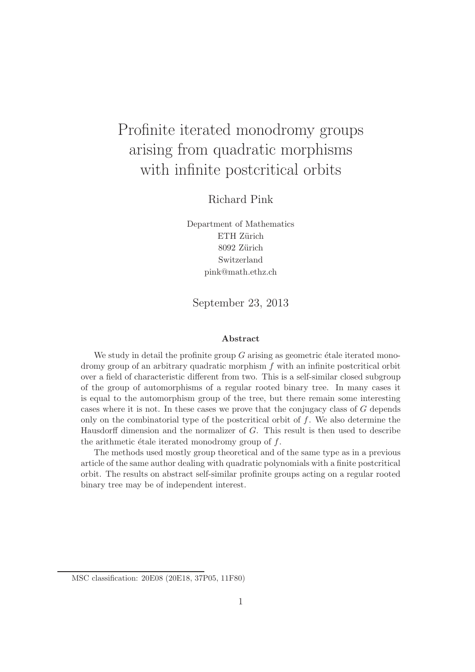# Profinite iterated monodromy groups arising from quadratic morphisms with infinite postcritical orbits

Richard Pink

Department of Mathematics ETH Zürich 8092 Zürich Switzerland pink@math.ethz.ch

September 23, 2013

#### Abstract

We study in detail the profinite group  $G$  arising as geometric étale iterated monodromy group of an arbitrary quadratic morphism f with an infinite postcritical orbit over a field of characteristic different from two. This is a self-similar closed subgroup of the group of automorphisms of a regular rooted binary tree. In many cases it is equal to the automorphism group of the tree, but there remain some interesting cases where it is not. In these cases we prove that the conjugacy class of G depends only on the combinatorial type of the postcritical orbit of  $f$ . We also determine the Hausdorff dimension and the normalizer of G. This result is then used to describe the arithmetic étale iterated monodromy group of  $f$ .

The methods used mostly group theoretical and of the same type as in a previous article of the same author dealing with quadratic polynomials with a finite postcritical orbit. The results on abstract self-similar profinite groups acting on a regular rooted binary tree may be of independent interest.

MSC classification: 20E08 (20E18, 37P05, 11F80)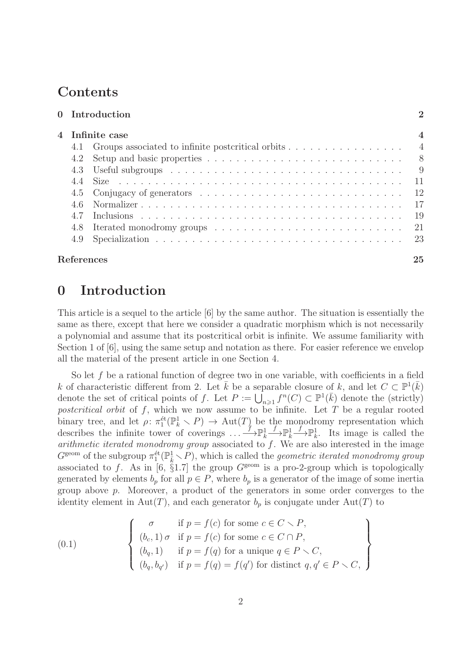# **Contents**

|                   | 0 Introduction                                          | $\overline{2}$ |  |
|-------------------|---------------------------------------------------------|----------------|--|
| 4   Infinite case |                                                         |                |  |
|                   | 4.1 Groups associated to infinite postcritical orbits 4 |                |  |
| 4.2               |                                                         | 8 <sup>8</sup> |  |
| 4.3               |                                                         | -9             |  |
|                   |                                                         | 11             |  |
|                   |                                                         | 12             |  |
| 46                |                                                         | 17             |  |
| 4.7               |                                                         | 19             |  |
| 4.8               |                                                         | 21             |  |
| 4.9               |                                                         | -23            |  |
| References        |                                                         | 25             |  |

## 0 Introduction

This article is a sequel to the article [6] by the same author. The situation is essentially the same as there, except that here we consider a quadratic morphism which is not necessarily a polynomial and assume that its postcritical orbit is infinite. We assume familiarity with Section 1 of [6], using the same setup and notation as there. For easier reference we envelop all the material of the present article in one Section 4.

So let f be a rational function of degree two in one variable, with coefficients in a field k of characteristic different from 2. Let  $\bar{k}$  be a separable closure of k, and let  $C \subset \mathbb{P}^1(\bar{k})$ denote the set of critical points of f. Let  $P := \overline{\bigcup_{n \geq 1}} f^n(C) \subset \mathbb{P}^1(\overline{k})$  denote the (strictly) postcritical orbit of  $f$ , which we now assume to be infinite. Let  $T$  be a regular rooted binary tree, and let  $\rho: \pi_1^{\text{\'et}}(\mathbb{P}_k^1 \setminus P) \to \text{Aut}(T)$  be the monodromy representation which describes the infinite tower of coverings  $\dots \longrightarrow \mathbb{P}_k^1$  $\xrightarrow{f} \mathbb{P}^1_k$  $\stackrel{f}{\longrightarrow} \mathbb{P}^1_k$ . Its image is called the arithmetic iterated monodromy group associated to  $f$ . We are also interested in the image  $G^{\text{geom}}$  of the subgroup  $\pi_1^{\text{\'et}}(\mathbb{P}^1_k \setminus P)$ , which is called the *geometric iterated monodromy group* associated to f. As in [6,  $\S 1.7$ ] the group  $G^{\text{geom}}$  is a pro-2-group which is topologically generated by elements  $b_p$  for all  $p \in P$ , where  $b_p$  is a generator of the image of some inertia group above p. Moreover, a product of the generators in some order converges to the identity element in Aut(T), and each generator  $b_p$  is conjugate under Aut(T) to

(0.1) 
$$
\begin{cases}\n\sigma & \text{if } p = f(c) \text{ for some } c \in C \setminus P, \\
(b_c, 1) \sigma & \text{if } p = f(c) \text{ for some } c \in C \cap P, \\
(b_q, 1) & \text{if } p = f(q) \text{ for a unique } q \in P \setminus C, \\
(b_q, b_{q'}) & \text{if } p = f(q) = f(q') \text{ for distinct } q, q' \in P \setminus C,\n\end{cases}
$$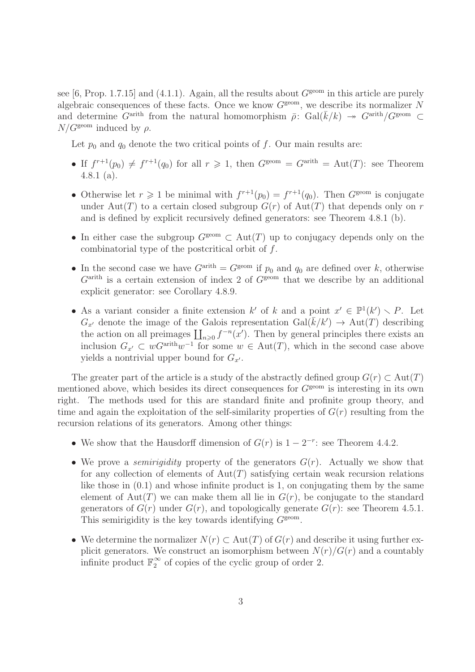see [6, Prop. 1.7.15] and (4.1.1). Again, all the results about  $G^{\text{geom}}$  in this article are purely algebraic consequences of these facts. Once we know  $G^{\text{geom}}$ , we describe its normalizer N and determine  $G^{\text{arith}}$  from the natural homomorphism  $\bar{\rho}$ : Gal( $\bar{k}/k$ ) →  $G^{\text{arith}}/G^{\text{geom}}$   $\subset$  $N/G^{\text{geom}}$  induced by  $\rho$ .

Let  $p_0$  and  $q_0$  denote the two critical points of f. Our main results are:

- If  $f^{r+1}(p_0) \neq f^{r+1}(q_0)$  for all  $r \geq 1$ , then  $G^{\text{geom}} = G^{\text{arith}} = \text{Aut}(T)$ : see Theorem 4.8.1 (a).
- Otherwise let  $r \geq 1$  be minimal with  $f^{r+1}(p_0) = f^{r+1}(q_0)$ . Then  $G^{\text{geom}}$  is conjugate under Aut(T) to a certain closed subgroup  $G(r)$  of Aut(T) that depends only on r and is defined by explicit recursively defined generators: see Theorem 4.8.1 (b).
- In either case the subgroup  $G^{\text{geom}} \subset \text{Aut}(T)$  up to conjugacy depends only on the combinatorial type of the postcritical orbit of f.
- In the second case we have  $G^{\text{arith}} = G^{\text{geom}}$  if  $p_0$  and  $q_0$  are defined over k, otherwise  $G<sup>arith</sup>$  is a certain extension of index 2 of  $G<sup>geom</sup>$  that we describe by an additional explicit generator: see Corollary 4.8.9.
- As a variant consider a finite extension k' of k and a point  $x' \in \mathbb{P}^1(k') \setminus P$ . Let  $G_{x'}$  denote the image of the Galois representation  $Gal(\bar{k}/k') \rightarrow Aut(T)$  describing the action on all preimages  $\prod_{n\geqslant 0} f^{-n}(x')$ . Then by general principles there exists an inclusion  $G_{x'} \subset wG^{\text{arith}}w^{-1}$  for some  $w \in \text{Aut}(T)$ , which in the second case above yields a nontrivial upper bound for  $G_{x'}$ .

The greater part of the article is a study of the abstractly defined group  $G(r) \subset Aut(T)$ mentioned above, which besides its direct consequences for  $G^{\text{geom}}$  is interesting in its own right. The methods used for this are standard finite and profinite group theory, and time and again the exploitation of the self-similarity properties of  $G(r)$  resulting from the recursion relations of its generators. Among other things:

- We show that the Hausdorff dimension of  $G(r)$  is  $1 2^{-r}$ : see Theorem 4.4.2.
- We prove a *semirigidity* property of the generators  $G(r)$ . Actually we show that for any collection of elements of  $Aut(T)$  satisfying certain weak recursion relations like those in  $(0.1)$  and whose infinite product is 1, on conjugating them by the same element of Aut $(T)$  we can make them all lie in  $G(r)$ , be conjugate to the standard generators of  $G(r)$  under  $G(r)$ , and topologically generate  $G(r)$ : see Theorem 4.5.1. This semirigidity is the key towards identifying  $G<sup>geom</sup>$ .
- We determine the normalizer  $N(r) \subset Aut(T)$  of  $G(r)$  and describe it using further explicit generators. We construct an isomorphism between  $N(r)/G(r)$  and a countably infinite product  $\mathbb{F}_2^{\infty}$  $\frac{\infty}{2}$  of copies of the cyclic group of order 2.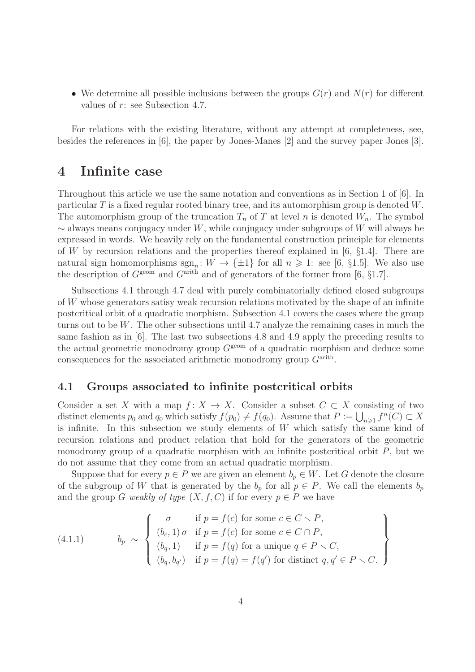• We determine all possible inclusions between the groups  $G(r)$  and  $N(r)$  for different values of r: see Subsection 4.7.

For relations with the existing literature, without any attempt at completeness, see, besides the references in [6], the paper by Jones-Manes [2] and the survey paper Jones [3].

## 4 Infinite case

Throughout this article we use the same notation and conventions as in Section 1 of [6]. In particular  $T$  is a fixed regular rooted binary tree, and its automorphism group is denoted  $W$ . The automorphism group of the truncation  $T_n$  of T at level n is denoted  $W_n$ . The symbol  $\sim$  always means conjugacy under W, while conjugacy under subgroups of W will always be expressed in words. We heavily rely on the fundamental construction principle for elements of W by recursion relations and the properties thereof explained in [6,  $\S1.4$ ]. There are natural sign homomorphisms  $sgn_n: W \to \{\pm 1\}$  for all  $n \geq 1$ : see [6, §1.5]. We also use the description of  $G^{\text{geom}}$  and  $G^{\text{arith}}$  and of generators of the former from [6, §1.7].

Subsections 4.1 through 4.7 deal with purely combinatorially defined closed subgroups of W whose generators satisy weak recursion relations motivated by the shape of an infinite postcritical orbit of a quadratic morphism. Subsection 4.1 covers the cases where the group turns out to be W. The other subsections until 4.7 analyze the remaining cases in much the same fashion as in [6]. The last two subsections 4.8 and 4.9 apply the preceding results to the actual geometric monodromy group  $G<sup>geom</sup>$  of a quadratic morphism and deduce some consequences for the associated arithmetic monodromy group  $G<sup>arith</sup>$ .

### 4.1 Groups associated to infinite postcritical orbits

Consider a set X with a map  $f: X \to X$ . Consider a subset  $C \subset X$  consisting of two distinct elements  $p_0$  and  $q_0$  which satisfy  $f(p_0) \neq f(q_0)$ . Assume that  $P := \bigcup_{n \geq 1} f^n(C) \subset X$ is infinite. In this subsection we study elements of  $W$  which satisfy the same kind of recursion relations and product relation that hold for the generators of the geometric monodromy group of a quadratic morphism with an infinite postcritical orbit  $P$ , but we do not assume that they come from an actual quadratic morphism.

Suppose that for every  $p \in P$  we are given an element  $b_p \in W$ . Let G denote the closure of the subgroup of W that is generated by the  $b_p$  for all  $p \in P$ . We call the elements  $b_p$ and the group G weakly of type  $(X, f, C)$  if for every  $p \in P$  we have

(4.1.1) 
$$
b_p \sim \left\{ \begin{array}{ll} \sigma & \text{if } p = f(c) \text{ for some } c \in C \setminus P, \\ (b_c, 1) \sigma & \text{if } p = f(c) \text{ for some } c \in C \cap P, \\ (b_q, 1) & \text{if } p = f(q) \text{ for a unique } q \in P \setminus C, \\ (b_q, b_{q'}) & \text{if } p = f(q) = f(q') \text{ for distinct } q, q' \in P \setminus C. \end{array} \right\}
$$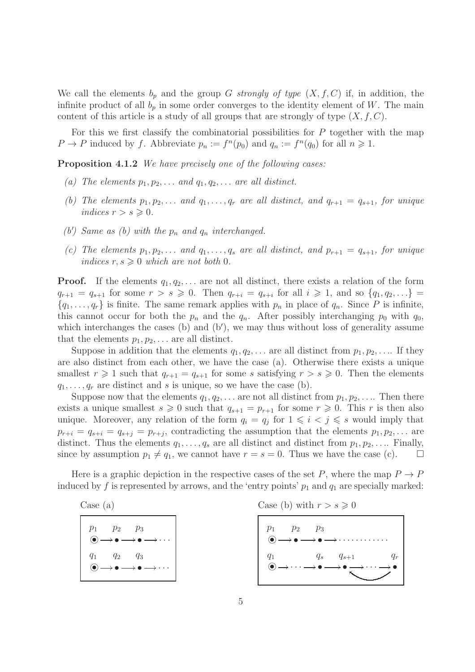We call the elements  $b_p$  and the group G strongly of type  $(X, f, C)$  if, in addition, the infinite product of all  $b_p$  in some order converges to the identity element of W. The main content of this article is a study of all groups that are strongly of type  $(X, f, C)$ .

For this we first classify the combinatorial possibilities for  $P$  together with the map  $P \to P$  induced by f. Abbreviate  $p_n := f^n(p_0)$  and  $q_n := f^n(q_0)$  for all  $n \geq 1$ .

Proposition 4.1.2 We have precisely one of the following cases:

- (a) The elements  $p_1, p_2, \ldots$  and  $q_1, q_2, \ldots$  are all distinct.
- (b) The elements  $p_1, p_2, \ldots$  and  $q_1, \ldots, q_r$  are all distinct, and  $q_{r+1} = q_{s+1}$ , for unique indices  $r > s \geqslant 0$ .
- (b') Same as (b) with the  $p_n$  and  $q_n$  interchanged.
- (c) The elements  $p_1, p_2, \ldots$  and  $q_1, \ldots, q_s$  are all distinct, and  $p_{r+1} = q_{s+1}$ , for unique indices  $r, s \geqslant 0$  which are not both 0.

**Proof.** If the elements  $q_1, q_2, \ldots$  are not all distinct, there exists a relation of the form  $q_{r+1} = q_{s+1}$  for some  $r > s \geq 0$ . Then  $q_{r+i} = q_{s+i}$  for all  $i \geq 1$ , and so  $\{q_1, q_2, ...\} =$  $\{q_1, \ldots, q_r\}$  is finite. The same remark applies with  $p_n$  in place of  $q_n$ . Since P is infinite, this cannot occur for both the  $p_n$  and the  $q_n$ . After possibly interchanging  $p_0$  with  $q_0$ , which interchanges the cases (b) and (b'), we may thus without loss of generality assume that the elements  $p_1, p_2, \ldots$  are all distinct.

Suppose in addition that the elements  $q_1, q_2, \ldots$  are all distinct from  $p_1, p_2, \ldots$  If they are also distinct from each other, we have the case (a). Otherwise there exists a unique smallest  $r \geq 1$  such that  $q_{r+1} = q_{s+1}$  for some s satisfying  $r > s \geq 0$ . Then the elements  $q_1, \ldots, q_r$  are distinct and s is unique, so we have the case (b).

Suppose now that the elements  $q_1, q_2, \ldots$  are not all distinct from  $p_1, p_2, \ldots$ . Then there exists a unique smallest  $s \geq 0$  such that  $q_{s+1} = p_{r+1}$  for some  $r \geq 0$ . This r is then also unique. Moreover, any relation of the form  $q_i = q_j$  for  $1 \leq i \leq j \leq s$  would imply that  $p_{r+i} = q_{s+i} = q_{s+j} = p_{r+j}$ , contradicting the assumption that the elements  $p_1, p_2, \ldots$  are distinct. Thus the elements  $q_1, \ldots, q_s$  are all distinct and distinct from  $p_1, p_2, \ldots$  Finally, since by assumption  $p_1 \neq q_1$ , we cannot have  $r = s = 0$ . Thus we have the case (c).  $\Box$ 

Here is a graphic depiction in the respective cases of the set P, where the map  $P \to P$ induced by f is represented by arrows, and the 'entry points'  $p_1$  and  $q_1$  are specially marked:

Case (a)

| $p_1$ $p_2$ $p_3$ | $\textcircled{\scriptsize{\bullet}} \longrightarrow \textcirc \longrightarrow \textcirc \longrightarrow \cdots$ |
|-------------------|-----------------------------------------------------------------------------------------------------------------|
|                   | $q_1 \, q_2 \, q_3$<br>$\left(\bullet\right)\longrightarrow\bullet\longrightarrow\bullet\longrightarrow\cdots$  |

Case (b) with 
$$
r > s \geqslant 0
$$

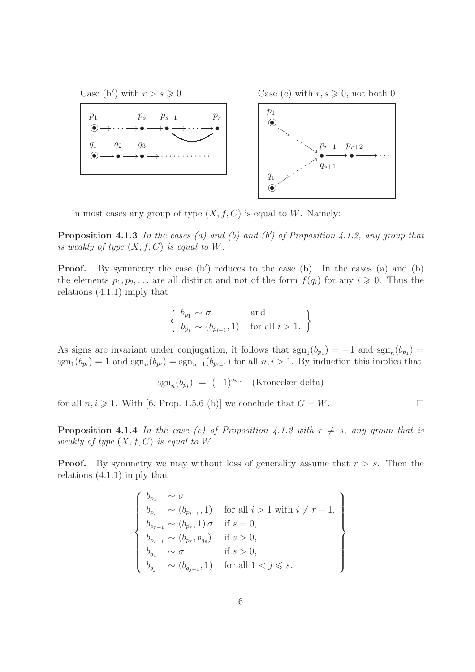

In most cases any group of type  $(X, f, C)$  is equal to W. Namely:

**Proposition 4.1.3** In the cases (a) and (b) and (b') of Proposition 4.1.2, any group that is weakly of type  $(X, f, C)$  is equal to W.

**Proof.** By symmetry the case (b') reduces to the case (b). In the cases (a) and (b) the elements  $p_1, p_2, \ldots$  are all distinct and not of the form  $f(q_i)$  for any  $i \geq 0$ . Thus the relations (4.1.1) imply that

$$
\left\{\n \begin{array}{l}\n b_{p_1} \sim \sigma \quad \text{and} \\
 b_{p_i} \sim (b_{p_{i-1}}, 1) \quad \text{for all } i > 1.\n \end{array}\n\right\}
$$

As signs are invariant under conjugation, it follows that  $sgn_1(b_{p_1}) = -1$  and  $sgn_n(b_{p_1}) =$  $sgn_1(b_{p_i}) = 1$  and  $sgn_n(b_{p_i}) = sgn_{n-1}(b_{p_{i-1}})$  for all  $n, i > 1$ . By induction this implies that

$$
sgn_n(b_{p_i}) = (-1)^{\delta_{n,i}} \quad \text{(Kronecker delta)}
$$

for all  $n, i \geq 1$ . With [6, Prop. 1.5.6 (b)] we conclude that  $G = W$ .

**Proposition 4.1.4** In the case (c) of Proposition 4.1.2 with  $r \neq s$ , any group that is weakly of type  $(X, f, C)$  is equal to W.

**Proof.** By symmetry we may without loss of generality assume that  $r > s$ . Then the relations (4.1.1) imply that

$$
\begin{cases}\n b_{p_1} & \sim \sigma \\
 b_{p_i} & \sim (b_{p_{i-1}}, 1) \quad \text{for all } i > 1 \text{ with } i \neq r+1, \\
 b_{p_{r+1}} & \sim (b_{p_r}, 1) \sigma \quad \text{if } s = 0, \\
 b_{p_{r+1}} & \sim (b_{p_r}, b_{q_s}) \quad \text{if } s > 0, \\
 b_{q_1} & \sim \sigma \quad \text{if } s > 0, \\
 b_{q_j} & \sim (b_{q_{j-1}}, 1) \quad \text{for all } 1 < j \leq s.\n\end{cases}
$$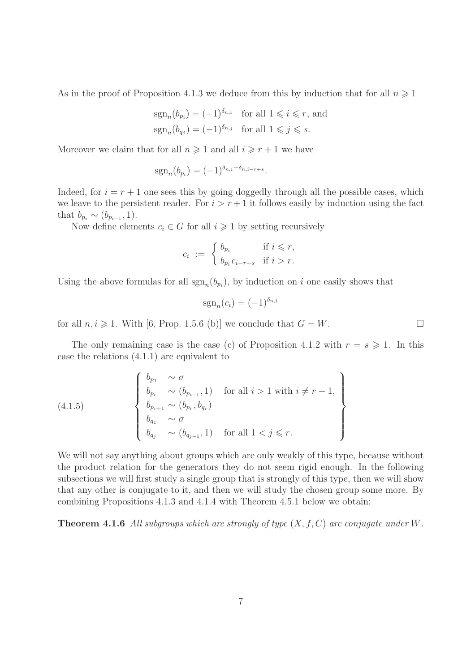As in the proof of Proposition 4.1.3 we deduce from this by induction that for all  $n \geq 1$ 

$$
sgn_n(b_{p_i}) = (-1)^{\delta_{n,i}} \text{ for all } 1 \leq i \leq r \text{, and}
$$
  

$$
sgn_n(b_{q_j}) = (-1)^{\delta_{n,j}} \text{ for all } 1 \leq j \leq s.
$$

Moreover we claim that for all  $n \geq 1$  and all  $i \geq r + 1$  we have

$$
sgn_n(b_{p_i}) = (-1)^{\delta_{n,i} + \delta_{n,i-r+s}}.
$$

Indeed, for  $i = r + 1$  one sees this by going doggedly through all the possible cases, which we leave to the persistent reader. For  $i > r + 1$  it follows easily by induction using the fact that  $b_{p_i} \sim (b_{p_{i-1}}, 1)$ .

Now define elements  $c_i \in G$  for all  $i \geq 1$  by setting recursively

$$
c_i := \begin{cases} b_{p_i} & \text{if } i \leq r, \\ b_{p_i} c_{i-r+s} & \text{if } i > r. \end{cases}
$$

Using the above formulas for all  $sgn_n(b_{p_i})$ , by induction on i one easily shows that

$$
sgn_n(c_i) = (-1)^{\delta_{n,i}}
$$

for all  $n, i \geq 1$ . With [6, Prop. 1.5.6 (b)] we conclude that  $G = W$ .

The only remaining case is the case (c) of Proposition 4.1.2 with  $r = s \geq 1$ . In this case the relations (4.1.1) are equivalent to

(4.1.5) 
$$
\begin{Bmatrix} b_{p_1} & \sim \sigma \\ b_{p_i} & \sim (b_{p_{i-1}}, 1) & \text{for all } i > 1 \text{ with } i \neq r+1, \\ b_{p_{r+1}} & \sim (b_{p_r}, b_{q_r}) \\ b_{q_1} & \sim \sigma \\ b_{q_j} & \sim (b_{q_{j-1}}, 1) & \text{for all } 1 < j \leq r. \end{Bmatrix}
$$

We will not say anything about groups which are only weakly of this type, because without the product relation for the generators they do not seem rigid enough. In the following subsections we will first study a single group that is strongly of this type, then we will show that any other is conjugate to it, and then we will study the chosen group some more. By combining Propositions 4.1.3 and 4.1.4 with Theorem 4.5.1 below we obtain:

**Theorem 4.1.6** All subgroups which are strongly of type  $(X, f, C)$  are conjugate under W.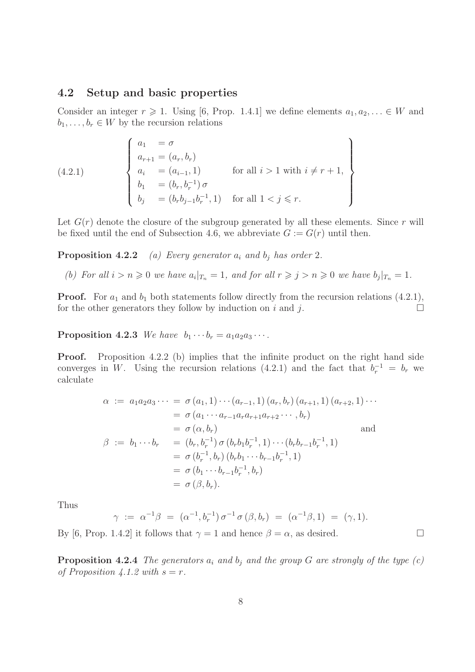#### 4.2 Setup and basic properties

Consider an integer  $r \geq 1$ . Using [6, Prop. 1.4.1] we define elements  $a_1, a_2, \ldots \in W$  and  $b_1, \ldots, b_r \in W$  by the recursion relations

(4.2.1) 
$$
\begin{cases} a_1 = \sigma \\ a_{r+1} = (a_r, b_r) \\ a_i = (a_{i-1}, 1) \\ b_1 = (b_r, b_r^{-1}) \sigma \\ b_j = (b_r b_{j-1} b_r^{-1}, 1) \quad \text{for all } 1 < j \leq r. \end{cases}
$$

Let  $G(r)$  denote the closure of the subgroup generated by all these elements. Since r will be fixed until the end of Subsection 4.6, we abbreviate  $G := G(r)$  until then.

**Proposition 4.2.2** (a) Every generator  $a_i$  and  $b_j$  has order 2.

(b) For all  $i > n \geqslant 0$  we have  $a_i |_{T_n} = 1$ , and for all  $r \geqslant j > n \geqslant 0$  we have  $b_j |_{T_n} = 1$ .

**Proof.** For  $a_1$  and  $b_1$  both statements follow directly from the recursion relations (4.2.1), for the other generators they follow by induction on i and j.

**Proposition 4.2.3** We have  $b_1 \cdots b_r = a_1 a_2 a_3 \cdots$ .

Proof. Proposition 4.2.2 (b) implies that the infinite product on the right hand side converges in W. Using the recursion relations (4.2.1) and the fact that  $b_r^{-1} = b_r$  we calculate

$$
\alpha := a_1 a_2 a_3 \cdots = \sigma (a_1, 1) \cdots (a_{r-1}, 1) (a_r, b_r) (a_{r+1}, 1) (a_{r+2}, 1) \cdots
$$
  
\n
$$
= \sigma (a_1 \cdots a_{r-1} a_r a_{r+1} a_{r+2} \cdots, b_r)
$$
  
\n
$$
= \sigma (\alpha, b_r)
$$
 and  
\n
$$
\beta := b_1 \cdots b_r = (b_r, b_r^{-1}) \sigma (b_r b_1 b_r^{-1}, 1) \cdots (b_r b_{r-1} b_r^{-1}, 1)
$$
  
\n
$$
= \sigma (b_r^{-1}, b_r) (b_r b_1 \cdots b_{r-1} b_r^{-1}, 1)
$$
  
\n
$$
= \sigma (b_1 \cdots b_{r-1} b_r^{-1}, b_r)
$$
  
\n
$$
= \sigma (\beta, b_r).
$$

Thus

$$
\gamma := \alpha^{-1}\beta = (\alpha^{-1}, b_r^{-1}) \sigma^{-1} \sigma (\beta, b_r) = (\alpha^{-1}\beta, 1) = (\gamma, 1).
$$

By [6, Prop. 1.4.2] it follows that  $\gamma = 1$  and hence  $\beta = \alpha$ , as desired.

**Proposition 4.2.4** The generators  $a_i$  and  $b_j$  and the group G are strongly of the type (c) of Proposition 4.1.2 with  $s = r$ .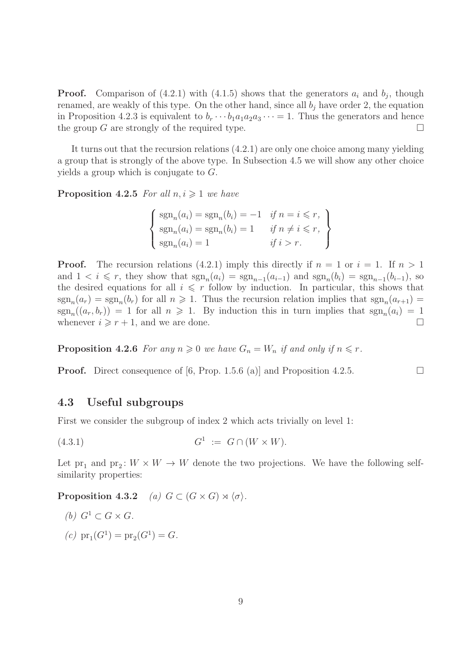**Proof.** Comparison of  $(4.2.1)$  with  $(4.1.5)$  shows that the generators  $a_i$  and  $b_j$ , though renamed, are weakly of this type. On the other hand, since all  $b_i$  have order 2, the equation in Proposition 4.2.3 is equivalent to  $b_r \cdots b_1 a_1 a_2 a_3 \cdots = 1$ . Thus the generators and hence the group G are strongly of the required type.  $\Box$ 

It turns out that the recursion relations (4.2.1) are only one choice among many yielding a group that is strongly of the above type. In Subsection 4.5 we will show any other choice yields a group which is conjugate to G.

**Proposition 4.2.5** For all  $n, i \geq 1$  we have

$$
\begin{cases}\n\operatorname{sgn}_n(a_i) = \operatorname{sgn}_n(b_i) = -1 & \text{if } n = i \leq r, \\
\operatorname{sgn}_n(a_i) = \operatorname{sgn}_n(b_i) = 1 & \text{if } n \neq i \leq r, \\
\operatorname{sgn}_n(a_i) = 1 & \text{if } i > r.\n\end{cases}
$$

**Proof.** The recursion relations (4.2.1) imply this directly if  $n = 1$  or  $i = 1$ . If  $n > 1$ and  $1 < i \leq r$ , they show that  $sgn_n(a_i) = sgn_{n-1}(a_{i-1})$  and  $sgn_n(b_i) = sgn_{n-1}(b_{i-1})$ , so the desired equations for all  $i \leq r$  follow by induction. In particular, this shows that  $sgn_n(a_r) = sgn_n(b_r)$  for all  $n \geq 1$ . Thus the recursion relation implies that  $sgn_n(a_{r+1}) =$  $sgn_n((a_r, b_r)) = 1$  for all  $n \geq 1$ . By induction this in turn implies that  $sgn_n(a_i) = 1$ whenever  $i \geqslant r + 1$ , and we are done.

**Proposition 4.2.6** For any  $n \geq 0$  we have  $G_n = W_n$  if and only if  $n \leq r$ .

**Proof.** Direct consequence of [6, Prop. 1.5.6 (a)] and Proposition 4.2.5.

### 4.3 Useful subgroups

First we consider the subgroup of index 2 which acts trivially on level 1:

$$
(4.3.1) \tG1 := G \cap (W \times W).
$$

Let  $pr_1$  and  $pr_2$ :  $W \times W \rightarrow W$  denote the two projections. We have the following selfsimilarity properties:

Proposition 4.3.2 (a)  $G \subset (G \times G) \rtimes \langle \sigma \rangle$ .

(b) 
$$
G^1 \subset G \times G
$$
.

(c)  $pr_1(G^1) = pr_2(G^1) = G.$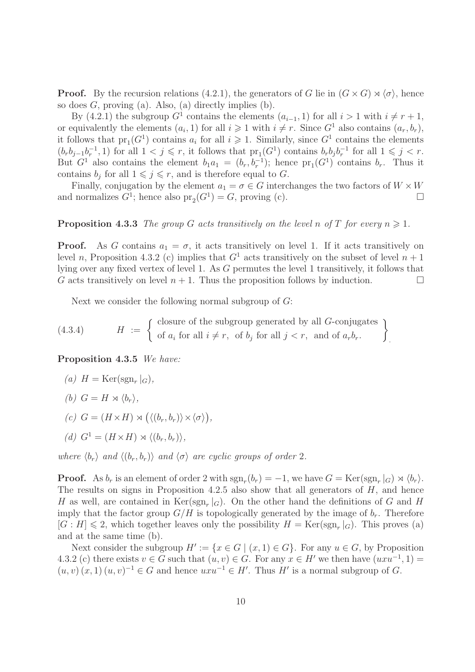**Proof.** By the recursion relations (4.2.1), the generators of G lie in  $(G \times G) \rtimes \langle \sigma \rangle$ , hence so does  $G$ , proving (a). Also, (a) directly implies (b).

By (4.2.1) the subgroup  $G^1$  contains the elements  $(a_{i-1}, 1)$  for all  $i > 1$  with  $i \neq r + 1$ , or equivalently the elements  $(a_i, 1)$  for all  $i \geq 1$  with  $i \neq r$ . Since  $G^1$  also contains  $(a_r, b_r)$ , it follows that  $pr_1(G^1)$  contains  $a_i$  for all  $i \geqslant 1$ . Similarly, since  $G^1$  contains the elements  $(b_r b_{j-1} b_r^{-1}, 1)$  for all  $1 < j \leq r$ , it follows that  $pr_1(G<sup>1</sup>)$  contains  $b_r b_j b_r^{-1}$  for all  $1 \leq j < r$ . But  $G^1$  also contains the element  $b_1a_1 = (b_r, b_r^{-1})$ ; hence  $pr_1(G^1)$  contains  $b_r$ . Thus it contains  $b_j$  for all  $1 \leqslant j \leqslant r$ , and is therefore equal to G.

Finally, conjugation by the element  $a_1 = \sigma \in G$  interchanges the two factors of  $W \times W$ and normalizes  $G^1$ ; hence also  $pr_2(G^1) = G$ , proving (c).

#### **Proposition 4.3.3** The group G acts transitively on the level n of T for every  $n \geq 1$ .

**Proof.** As G contains  $a_1 = \sigma$ , it acts transitively on level 1. If it acts transitively on level n, Proposition 4.3.2 (c) implies that  $G<sup>1</sup>$  acts transitively on the subset of level  $n + 1$ lying over any fixed vertex of level 1. As G permutes the level 1 transitively, it follows that G acts transitively on level  $n + 1$ . Thus the proposition follows by induction.

Next we consider the following normal subgroup of G:

(4.3.4) 
$$
H := \left\{ \begin{array}{ll} \text{closure of the subgroup generated by all } G\text{-conjugates} \\ \text{of } a_i \text{ for all } i \neq r, \text{ of } b_j \text{ for all } j < r, \text{ and of } a_r b_r. \end{array} \right\}
$$

Proposition 4.3.5 We have:

(a) 
$$
H = \text{Ker}(\text{sgn}_r |_G),
$$
  
(b)  $G = H \rtimes \langle b_r \rangle,$ 

$$
(c) G = (H \times H) \rtimes (\langle (b_r, b_r) \rangle \times \langle \sigma \rangle),
$$

(d) 
$$
G^1 = (H \times H) \rtimes \langle (b_r, b_r) \rangle
$$
,

where  $\langle b_r \rangle$  and  $\langle (b_r, b_r) \rangle$  and  $\langle \sigma \rangle$  are cyclic groups of order 2.

**Proof.** As  $b_r$  is an element of order 2 with  $\text{sgn}_r(b_r) = -1$ , we have  $G = \text{Ker}(\text{sgn}_r|_G) \rtimes \langle b_r \rangle$ . The results on signs in Proposition 4.2.5 also show that all generators of  $H$ , and hence H as well, are contained in  $\text{Ker}(\text{sgn}_r|_G)$ . On the other hand the definitions of G and H imply that the factor group  $G/H$  is topologically generated by the image of  $b_r$ . Therefore  $[G:H] \leq 2$ , which together leaves only the possibility  $H = \text{Ker}(\text{sgn}_r|_G)$ . This proves (a) and at the same time (b).

Next consider the subgroup  $H' := \{x \in G \mid (x, 1) \in G\}$ . For any  $u \in G$ , by Proposition 4.3.2 (c) there exists  $v \in G$  such that  $(u, v) \in G$ . For any  $x \in H'$  we then have  $(uxu^{-1}, 1) =$  $(u, v)(x, 1)(u, v)^{-1} \in G$  and hence  $uxu^{-1} \in H'$ . Thus H' is a normal subgroup of G.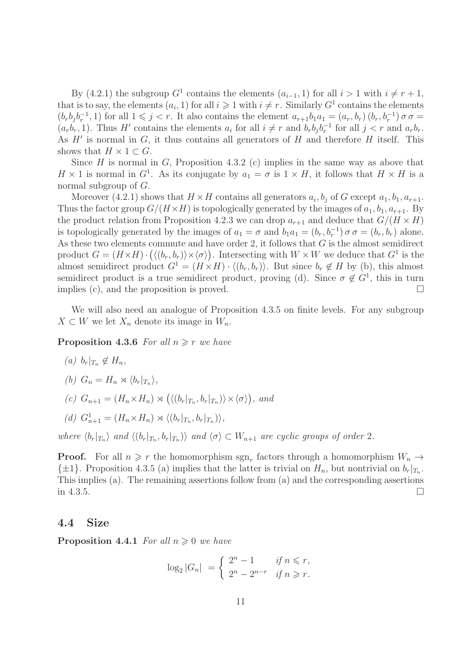By (4.2.1) the subgroup  $G^1$  contains the elements  $(a_{i-1}, 1)$  for all  $i > 1$  with  $i \neq r + 1$ , that is to say, the elements  $(a_i, 1)$  for all  $i \geq 1$  with  $i \neq r$ . Similarly  $G^1$  contains the elements  $(b_r b_j b_r^{-1}, 1)$  for all  $1 \leq j < r$ . It also contains the element  $a_{r+1}b_1 a_1 = (a_r, b_r) (b_r, b_r^{-1}) \sigma \sigma =$  $(a_r b_r, 1)$ . Thus H' contains the elements  $a_i$  for all  $i \neq r$  and  $b_r b_j b_r^{-1}$  for all  $j < r$  and  $a_r b_r$ . As  $H'$  is normal in  $G$ , it thus contains all generators of  $H$  and therefore  $H$  itself. This shows that  $H \times 1 \subset G$ .

Since H is normal in G, Proposition 4.3.2 (c) implies in the same way as above that  $H \times 1$  is normal in  $G<sup>1</sup>$ . As its conjugate by  $a_1 = \sigma$  is  $1 \times H$ , it follows that  $H \times H$  is a normal subgroup of G.

Moreover (4.2.1) shows that  $H \times H$  contains all generators  $a_i, b_j$  of G except  $a_1, b_1, a_{r+1}$ . Thus the factor group  $G/(H \times H)$  is topologically generated by the images of  $a_1, b_1, a_{r+1}$ . By the product relation from Proposition 4.2.3 we can drop  $a_{r+1}$  and deduce that  $G/(H \times H)$ is topologically generated by the images of  $a_1 = \sigma$  and  $b_1 a_1 = (b_r, b_r^{-1}) \sigma \sigma = (b_r, b_r)$  alone. As these two elements commute and have order 2, it follows that  $G$  is the almost semidirect product  $G = (H \times H) \cdot (\langle (b_r, b_r) \rangle \times \langle \sigma \rangle)$ . Intersecting with  $W \times W$  we deduce that  $G^1$  is the almost semidirect product  $G^1 = (H \times H) \cdot \langle (b_r, b_r) \rangle$ . But since  $b_r \notin H$  by (b), this almost semidirect product is a true semidirect product, proving (d). Since  $\sigma \notin G^1$ , this in turn implies (c), and the proposition is proved.  $\square$ 

We will also need an analogue of Proposition 4.3.5 on finite levels. For any subgroup  $X \subset W$  we let  $X_n$  denote its image in  $W_n$ .

**Proposition 4.3.6** For all  $n \geq r$  we have

- (a)  $b_r|_{T_n} \notin H_n$ ,
- (b)  $G_n = H_n \rtimes \langle b_r |_{T_n} \rangle,$
- (c)  $G_{n+1} = (H_n \times H_n) \rtimes (\langle (b_r |_{T_n}, b_r |_{T_n}) \rangle \times \langle \sigma \rangle),$  and
- (d)  $G_{n+1}^1 = (H_n \times H_n) \rtimes \langle (b_r |_{T_n}, b_r |_{T_n}) \rangle$ ,

where  $\langle b_r|_{T_n}$  and  $\langle (b_r|_{T_n}, b_r|_{T_n}) \rangle$  and  $\langle \sigma \rangle \subset W_{n+1}$  are cyclic groups of order 2.

**Proof.** For all  $n \geq r$  the homomorphism  $sgn_r$  factors through a homomorphism  $W_n \to$  $\{\pm 1\}$ . Proposition 4.3.5 (a) implies that the latter is trivial on  $H_n$ , but nontrivial on  $b_r|_{T_n}$ . This implies (a). The remaining assertions follow from (a) and the corresponding assertions in 4.3.5.

### 4.4 Size

**Proposition 4.4.1** For all  $n \geq 0$  we have

$$
\log_2|G_n| = \begin{cases} 2^n - 1 & \text{if } n \leq r, \\ 2^n - 2^{n-r} & \text{if } n \geq r. \end{cases}
$$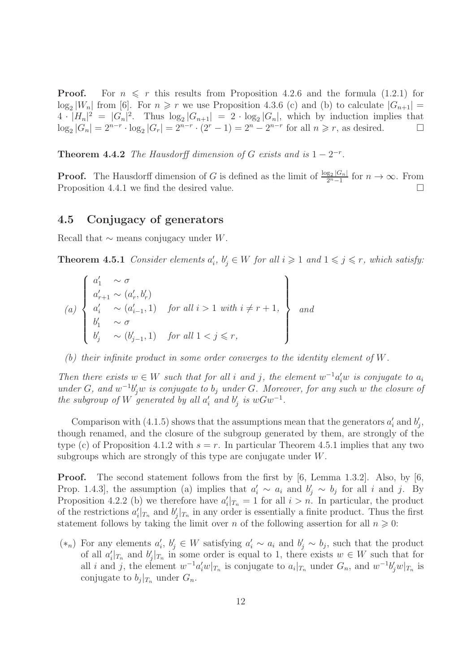**Proof.** For  $n \leq r$  this results from Proposition 4.2.6 and the formula (1.2.1) for  $\log_2|W_n|$  from [6]. For  $n \geq r$  we use Proposition 4.3.6 (c) and (b) to calculate  $|G_{n+1}| =$  $4 \cdot |H_n|^2 = |G_n|^2$ . Thus  $\log_2 |G_{n+1}| = 2 \cdot \log_2 |G_n|$ , which by induction implies that  $\log_2|G_n| = 2^{n-r} \cdot \log_2|G_r| = 2^{n-r} \cdot (2^r - 1) = 2^n - 2^{n-r}$  for all  $n \ge r$ , as desired.

**Theorem 4.4.2** The Hausdorff dimension of G exists and is  $1 - 2^{-r}$ .

**Proof.** The Hausdorff dimension of G is defined as the limit of  $\frac{\log_2 |G_n|}{2^n-1}$  $\frac{g_2|G_n|}{2^n-1}$  for  $n \to \infty$ . From Proposition 4.4.1 we find the desired value.  $\Box$ 

#### 4.5 Conjugacy of generators

Recall that  $\sim$  means conjugacy under W.

**Theorem 4.5.1** Consider elements  $a'_i$ ,  $b'_j \in W$  for all  $i \geq 1$  and  $1 \leq j \leq r$ , which satisfy:

$$
(a) \begin{cases} a'_1 & \sim \sigma \\ a'_{r+1} \sim (a'_r, b'_r) \\ a'_i & \sim (a'_{i-1}, 1) \\ b'_1 & \sim \sigma \\ b'_j & \sim (b'_{j-1}, 1) \end{cases} \quad \text{for all } i > 1 \text{ with } i \neq r+1, \quad \text{and}
$$

(b) their infinite product in some order converges to the identity element of W.

Then there exists  $w \in W$  such that for all i and j, the element  $w^{-1}a'_i w$  is conjugate to  $a_i$ under G, and  $w^{-1}b_j'w$  is conjugate to  $b_j$  under G. Moreover, for any such w the closure of the subgroup of W generated by all  $a'_i$  and  $b'_j$  is  $wGw^{-1}$ .

Comparison with (4.1.5) shows that the assumptions mean that the generators  $a'_i$  and  $b'_j$ , though renamed, and the closure of the subgroup generated by them, are strongly of the type (c) of Proposition 4.1.2 with  $s = r$ . In particular Theorem 4.5.1 implies that any two subgroups which are strongly of this type are conjugate under W.

Proof. The second statement follows from the first by [6, Lemma 1.3.2]. Also, by [6, Prop. 1.4.3, the assumption (a) implies that  $a'_i \sim a_i$  and  $b'_j \sim b_j$  for all i and j. By Proposition 4.2.2 (b) we therefore have  $a'_i|_{T_n} = 1$  for all  $i > n$ . In particular, the product of the restrictions  $a'_i|_{T_n}$  and  $b'_j|_{T_n}$  in any order is essentially a finite product. Thus the first statement follows by taking the limit over n of the following assertion for all  $n \geq 0$ :

 $(*_n)$  For any elements  $a'_i, b'_j \in W$  satisfying  $a'_i \sim a_i$  and  $b'_j \sim b_j$ , such that the product of all  $a'_i|_{T_n}$  and  $b'_j|_{T_n}$  in some order is equal to 1, there exists  $w \in W$  such that for all i and j, the element  $w^{-1}a'_i w|_{T_n}$  is conjugate to  $a_i|_{T_n}$  under  $G_n$ , and  $w^{-1}b'_j w|_{T_n}$  is conjugate to  $b_j|_{T_n}$  under  $G_n$ .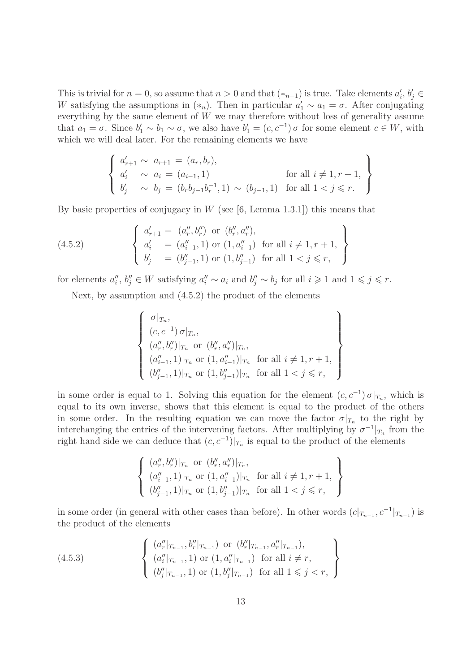This is trivial for  $n = 0$ , so assume that  $n > 0$  and that  $(*_{n-1})$  is true. Take elements  $a'_i, b'_j \in$ W satisfying the assumptions in  $(*_n)$ . Then in particular  $a'_1 \sim a_1 = \sigma$ . After conjugating everything by the same element of  $W$  we may therefore without loss of generality assume that  $a_1 = \sigma$ . Since  $b'_1 \sim b_1 \sim \sigma$ , we also have  $b'_1 = (c, c^{-1}) \sigma$  for some element  $c \in W$ , with which we will deal later. For the remaining elements we have

$$
\begin{cases}\na'_{r+1} \sim a_{r+1} = (a_r, b_r), \\
a'_i \sim a_i = (a_{i-1}, 1) \\
b'_j \sim b_j = (b_r b_{j-1} b_r^{-1}, 1) \sim (b_{j-1}, 1) \text{ for all } 1 < j \leq r.\n\end{cases}
$$

By basic properties of conjugacy in W (see  $[6, \text{Lemma } 1.3.1]$ ) this means that

(4.5.2) 
$$
\begin{cases} a'_{r+1} = (a''_r, b''_r) \text{ or } (b''_r, a''_r), \\ a'_{i} = (a''_{i-1}, 1) \text{ or } (1, a''_{i-1}) \text{ for all } i \neq 1, r+1, \\ b'_{j} = (b''_{j-1}, 1) \text{ or } (1, b''_{j-1}) \text{ for all } 1 < j \leq r, \end{cases}
$$

for elements  $a''_i, b''_j \in W$  satisfying  $a''_i \sim a_i$  and  $b''_j \sim b_j$  for all  $i \geqslant 1$  and  $1 \leqslant j \leqslant r$ .

Next, by assumption and (4.5.2) the product of the elements

$$
\begin{cases}\n\sigma|_{T_n}, \\
(c, c^{-1}) \sigma|_{T_n}, \\
(a''_r, b''_r)|_{T_n} \text{ or } (b''_r, a''_r)|_{T_n}, \\
(a''_{i-1}, 1)|_{T_n} \text{ or } (1, a''_{i-1})|_{T_n} \text{ for all } i \neq 1, r+1, \\
(b''_{j-1}, 1)|_{T_n} \text{ or } (1, b''_{j-1})|_{T_n} \text{ for all } 1 < j \leq r,\n\end{cases}
$$

in some order is equal to 1. Solving this equation for the element  $(c, c^{-1}) \sigma |_{T_n}$ , which is equal to its own inverse, shows that this element is equal to the product of the others in some order. In the resulting equation we can move the factor  $\sigma|_{T_n}$  to the right by interchanging the entries of the intervening factors. After multiplying by  $\sigma^{-1}|_{T_n}$  from the right hand side we can deduce that  $(c, c^{-1})|_{T_n}$  is equal to the product of the elements

$$
\left\{\n\begin{array}{l}\n(a''_r, b''_r)|_{T_n} \text{ or } (b''_r, a''_r)|_{T_n}, \\
(a''_{i-1}, 1)|_{T_n} \text{ or } (1, a''_{i-1})|_{T_n} \text{ for all } i \neq 1, r+1, \\
(b''_{j-1}, 1)|_{T_n} \text{ or } (1, b''_{j-1})|_{T_n} \text{ for all } 1 < j \leq r,\n\end{array}\n\right\}
$$

in some order (in general with other cases than before). In other words  $(c|_{T_{n-1}}, c^{-1}|_{T_{n-1}})$  is the product of the elements

$$
(4.5.3) \qquad \begin{cases} (a''_r|_{T_{n-1}}, b''_r|_{T_{n-1}}) \text{ or } (b''_r|_{T_{n-1}}, a''_r|_{T_{n-1}}), \\ (a''_i|_{T_{n-1}}, 1) \text{ or } (1, a''_i|_{T_{n-1}}) \text{ for all } i \neq r, \\ (b''_j|_{T_{n-1}}, 1) \text{ or } (1, b''_j|_{T_{n-1}}) \text{ for all } 1 \leq j < r, \end{cases}
$$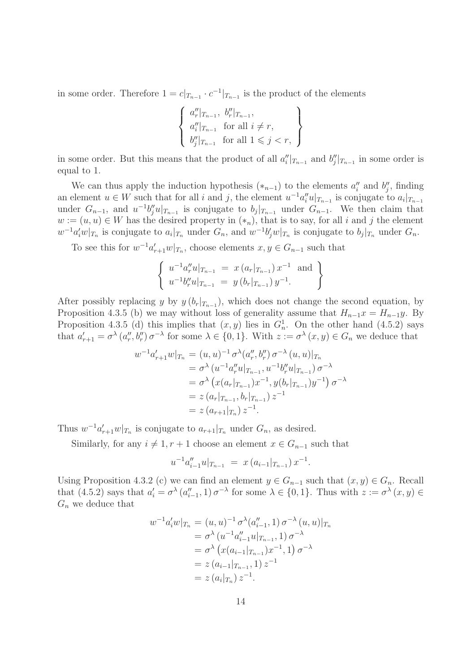in some order. Therefore  $1 = c|_{T_{n-1}} \cdot c^{-1}|_{T_{n-1}}$  is the product of the elements

$$
\left\{\n\begin{array}{l}\na''_r|_{T_{n-1}},\ b''_r|_{T_{n-1}},\\
a''_i|_{T_{n-1}} \text{ for all } i \neq r,\\
b''_j|_{T_{n-1}} \text{ for all } 1 \leq j < r,\n\end{array}\n\right\}
$$

in some order. But this means that the product of all  $a''_i|_{T_{n-1}}$  and  $b''_j|_{T_{n-1}}$  in some order is equal to 1.

We can thus apply the induction hypothesis  $(*_{n-1})$  to the elements  $a''_i$  and  $b''_j$ , finding an element  $u \in W$  such that for all i and j, the element  $u^{-1}a''_i u|_{T_{n-1}}$  is conjugate to  $a_i|_{T_{n-1}}$ under  $G_{n-1}$ , and  $u^{-1}b''_j u|_{T_{n-1}}$  is conjugate to  $b_j|_{T_{n-1}}$  under  $G_{n-1}$ . We then claim that  $w := (u, u) \in W$  has the desired property in  $(*_n)$ , that is to say, for all i and j the element  $w^{-1}a'_iw|_{T_n}$  is conjugate to  $a_i|_{T_n}$  under  $G_n$ , and  $w^{-1}b'_jw|_{T_n}$  is conjugate to  $b_j|_{T_n}$  under  $G_n$ .

To see this for  $w^{-1}a'_{r+1}w|_{T_n}$ , choose elements  $x, y \in G_{n-1}$  such that

$$
\left\{\n \begin{array}{ll}\n u^{-1}a_r''u|_{T_{n-1}} = x\left(a_r|_{T_{n-1}}\right)x^{-1} \text{ and } \\
 u^{-1}b_r''u|_{T_{n-1}} = y\left(b_r|_{T_{n-1}}\right)y^{-1}.\n \end{array}\n\right\}
$$

After possibly replacing y by  $y(b_r|_{T_{n-1}})$ , which does not change the second equation, by Proposition 4.3.5 (b) we may without loss of generality assume that  $H_{n-1}x = H_{n-1}y$ . By Proposition 4.3.5 (d) this implies that  $(x, y)$  lies in  $G_n^1$ . On the other hand (4.5.2) says that  $a'_{r+1} = \sigma^{\lambda} (a''_r, b''_r) \sigma^{-\lambda}$  for some  $\lambda \in \{0, 1\}$ . With  $z := \sigma^{\lambda} (x, y) \in G_n$  we deduce that

$$
w^{-1}a'_{r+1}w|_{T_n} = (u, u)^{-1} \sigma^{\lambda}(a''_r, b''_r) \sigma^{-\lambda}(u, u)|_{T_n}
$$
  
\n
$$
= \sigma^{\lambda}(u^{-1}a''_r u|_{T_{n-1}}, u^{-1}b''_r u|_{T_{n-1}}) \sigma^{-\lambda}
$$
  
\n
$$
= \sigma^{\lambda}(x(a_r|_{T_{n-1}})x^{-1}, y(b_r|_{T_{n-1}})y^{-1}) \sigma^{-\lambda}
$$
  
\n
$$
= z(a_r|_{T_{n-1}}, b_r|_{T_{n-1}}) z^{-1}
$$
  
\n
$$
= z(a_{r+1}|_{T_n}) z^{-1}.
$$

Thus  $w^{-1}a'_{r+1}w|_{T_n}$  is conjugate to  $a_{r+1}|_{T_n}$  under  $G_n$ , as desired.

Similarly, for any  $i \neq 1, r + 1$  choose an element  $x \in G_{n-1}$  such that

$$
u^{-1}a''_{i-1}u|_{T_{n-1}} = x(a_{i-1}|_{T_{n-1}})x^{-1}.
$$

Using Proposition 4.3.2 (c) we can find an element  $y \in G_{n-1}$  such that  $(x, y) \in G_n$ . Recall that  $(4.5.2)$  says that  $a'_i = \sigma^{\lambda}(a''_{i-1}, 1) \sigma^{-\lambda}$  for some  $\lambda \in \{0, 1\}$ . Thus with  $z := \sigma^{\lambda}(x, y) \in$  $G_n$  we deduce that

$$
w^{-1}a'_{i}w|_{T_{n}} = (u, u)^{-1} \sigma^{\lambda}(a''_{i-1}, 1) \sigma^{-\lambda}(u, u)|_{T_{n}}
$$
  
\n
$$
= \sigma^{\lambda}(u^{-1}a''_{i-1}u|_{T_{n-1}}, 1) \sigma^{-\lambda}
$$
  
\n
$$
= \sigma^{\lambda}(x(a_{i-1}|_{T_{n-1}})x^{-1}, 1) \sigma^{-\lambda}
$$
  
\n
$$
= z(a_{i-1}|_{T_{n-1}}, 1) z^{-1}
$$
  
\n
$$
= z(a_{i}|_{T_{n}}) z^{-1}.
$$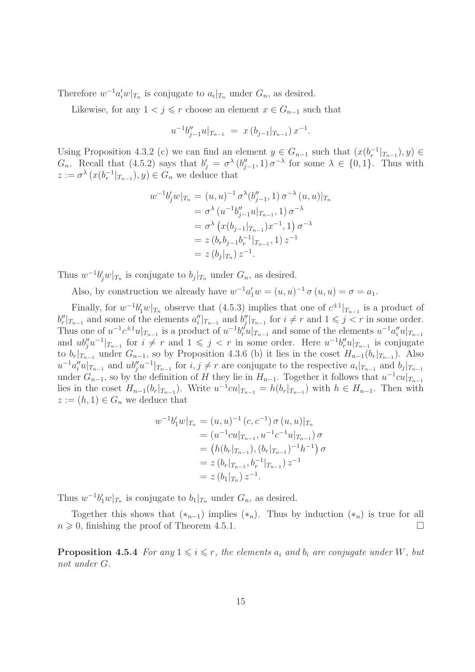Therefore  $w^{-1}a_i'w|_{T_n}$  is conjugate to  $a_i|_{T_n}$  under  $G_n$ , as desired.

Likewise, for any  $1 < j \leq r$  choose an element  $x \in G_{n-1}$  such that

$$
u^{-1}b_{j-1}''u|_{T_{n-1}} = x(b_{j-1}|_{T_{n-1}})x^{-1}.
$$

Using Proposition 4.3.2 (c) we can find an element  $y \in G_{n-1}$  such that  $(x(b<sub>r</sub><sup>-1</sup>|<sub>T<sub>n-1</sub></sub>), y) \in$  $G_n$ . Recall that  $(4.5.2)$  says that  $b'_j = \sigma^{\lambda}(b''_{j-1}, 1) \sigma^{-\lambda}$  for some  $\lambda \in \{0, 1\}$ . Thus with  $z := \sigma^{\lambda} (x(b_r^{-1}|_{T_{n-1}}), y) \in G_n$  we deduce that

$$
w^{-1}b'_{j}w|_{T_{n}} = (u, u)^{-1} \sigma^{\lambda}(b''_{j-1}, 1) \sigma^{-\lambda}(u, u)|_{T_{n}}
$$
  
\n
$$
= \sigma^{\lambda}(u^{-1}b''_{j-1}u|_{T_{n-1}}, 1) \sigma^{-\lambda}
$$
  
\n
$$
= \sigma^{\lambda}(x(b_{j-1}|_{T_{n-1}})x^{-1}, 1) \sigma^{-\lambda}
$$
  
\n
$$
= z(b_{r}b_{j-1}b_{r}^{-1}|_{T_{n-1}}, 1) z^{-1}
$$
  
\n
$$
= z(b_{j}|_{T_{n}}) z^{-1}.
$$

Thus  $w^{-1}b_j'w|_{T_n}$  is conjugate to  $b_j|_{T_n}$  under  $G_n$ , as desired.

Also, by construction we already have  $w^{-1}a'_1w = (u, u)^{-1} \sigma(u, u) = \sigma = a_1$ .

Finally, for  $w^{-1}b'_1w|_{T_n}$  observe that (4.5.3) implies that one of  $c^{\pm 1}|_{T_{n-1}}$  is a product of  $b''_r|_{T_{n-1}}$  and some of the elements  $a''_i|_{T_{n-1}}$  and  $b''_j|_{T_{n-1}}$  for  $i \neq r$  and  $1 \leq j < r$  in some order. Thus one of  $u^{-1}c^{\pm 1}u|_{T_{n-1}}$  is a product of  $u^{-1}b''_ru|_{T_{n-1}}$  and some of the elements  $u^{-1}a''_iu|_{T_{n-1}}$ and  $ub''_j u^{-1}|_{T_{n-1}}$  for  $i \neq r$  and  $1 \leqslant j < r$  in some order. Here  $u^{-1}b''_r u|_{T_{n-1}}$  is conjugate to  $b_r|_{T_{n-1}}$  under  $G_{n-1}$ , so by Proposition 4.3.6 (b) it lies in the coset  $H_{n-1}(b_r|_{T_{n-1}})$ . Also  $u^{-1}a''_i u|_{T_{n-1}}$  and  $ub''_j u^{-1}|_{T_{n-1}}$  for  $i, j \neq r$  are conjugate to the respective  $a_i|_{T_{n-1}}$  and  $b_j|_{T_{n-1}}$ under  $G_{n-1}$ , so by the definition of H they lie in  $H_{n-1}$ . Together it follows that  $u^{-1}cu|_{T_{n-1}}$ lies in the coset  $H_{n-1}(b_r|_{T_{n-1}})$ . Write  $u^{-1}cu|_{T_{n-1}} = h(b_r|_{T_{n-1}})$  with  $h \in H_{n-1}$ . Then with  $z := (h, 1) \in G_n$  we deduce that

$$
w^{-1}b'_1w|_{T_n} = (u, u)^{-1} (c, c^{-1}) \sigma (u, u)|_{T_n}
$$
  
\n
$$
= (u^{-1}cu|_{T_{n-1}}, u^{-1}c^{-1}u|_{T_{n-1}}) \sigma
$$
  
\n
$$
= (h(b_r|_{T_{n-1}}), (b_r|_{T_{n-1}})^{-1}h^{-1}) \sigma
$$
  
\n
$$
= z(b_r|_{T_{n-1}}, b_r^{-1}|_{T_{n-1}}) z^{-1}
$$
  
\n
$$
= z(b_1|_{T_n}) z^{-1}.
$$

Thus  $w^{-1}b'_1w|_{T_n}$  is conjugate to  $b_1|_{T_n}$  under  $G_n$ , as desired.

Together this shows that  $(*_{n-1})$  implies  $(*_n)$ . Thus by induction  $(*_n)$  is true for all  $n \geqslant 0$ , finishing the proof of Theorem 4.5.1.

**Proposition 4.5.4** For any  $1 \leq i \leq r$ , the elements  $a_i$  and  $b_i$  are conjugate under W, but not under G.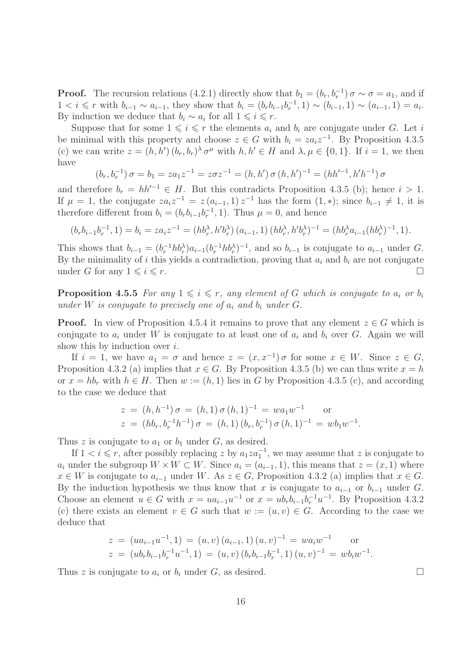**Proof.** The recursion relations (4.2.1) directly show that  $b_1 = (b_r, b_r^{-1}) \sigma \sim \sigma = a_1$ , and if  $1 < i \leq r$  with  $b_{i-1} \sim a_{i-1}$ , they show that  $b_i = (b_r b_{i-1} b_r^{-1}, 1) \sim (b_{i-1}, 1) \sim (a_{i-1}, 1) = a_i$ . By induction we deduce that  $b_i \sim a_i$  for all  $1 \leq i \leq r$ .

Suppose that for some  $1 \leq i \leq r$  the elements  $a_i$  and  $b_i$  are conjugate under G. Let i be minimal with this property and choose  $z \in G$  with  $b_i = za_i z^{-1}$ . By Proposition 4.3.5 (c) we can write  $z = (h, h') (b_r, b_r)^\lambda \sigma^\mu$  with  $h, h' \in H$  and  $\lambda, \mu \in \{0, 1\}$ . If  $i = 1$ , we then have

$$
(b_r, b_r^{-1}) \sigma = b_1 = za_1 z^{-1} = z \sigma z^{-1} = (h, h') \sigma (h, h')^{-1} = (hh'^{-1}, h'h^{-1}) \sigma
$$

and therefore  $b_r = hh'^{-1} \in H$ . But this contradicts Proposition 4.3.5 (b); hence  $i > 1$ . If  $\mu = 1$ , the conjugate  $za_i z^{-1} = z(a_{i-1}, 1) z^{-1}$  has the form  $(1, *)$ ; since  $b_{i-1} \neq 1$ , it is therefore different from  $b_i = (b_r b_{i-1} b_r^{-1}, 1)$ . Thus  $\mu = 0$ , and hence

$$
(b_r b_{i-1} b_r^{-1}, 1) = b_i = z a_i z^{-1} = (h b_r^{\lambda}, h' b_r^{\lambda}) (a_{i-1}, 1) (h b_r^{\lambda}, h' b_r^{\lambda})^{-1} = (h b_r^{\lambda} a_{i-1} (h b_r^{\lambda})^{-1}, 1).
$$

This shows that  $b_{i-1} = (b_i^{-1} h b_i^{\lambda}) a_{i-1} (b_i^{-1} h b_i^{\lambda})^{-1}$ , and so  $b_{i-1}$  is conjugate to  $a_{i-1}$  under G. By the minimality of i this yields a contradiction, proving that  $a_i$  and  $b_i$  are not conjugate under G for any  $1 \leqslant i \leqslant r$ .

**Proposition 4.5.5** For any  $1 \leq i \leq r$ , any element of G which is conjugate to  $a_i$  or  $b_i$ under W is conjugate to precisely one of  $a_i$  and  $b_i$  under G.

**Proof.** In view of Proposition 4.5.4 it remains to prove that any element  $z \in G$  which is conjugate to  $a_i$  under W is conjugate to at least one of  $a_i$  and  $b_i$  over G. Again we will show this by induction over  $i$ .

If  $i = 1$ , we have  $a_1 = \sigma$  and hence  $z = (x, x^{-1}) \sigma$  for some  $x \in W$ . Since  $z \in G$ , Proposition 4.3.2 (a) implies that  $x \in G$ . By Proposition 4.3.5 (b) we can thus write  $x = h$ or  $x = hb_r$  with  $h \in H$ . Then  $w := (h, 1)$  lies in G by Proposition 4.3.5 (c), and according to the case we deduce that

$$
z = (h, h^{-1}) \sigma = (h, 1) \sigma (h, 1)^{-1} = w a_1 w^{-1} \quad \text{or}
$$
  

$$
z = (h b_r, b_r^{-1} h^{-1}) \sigma = (h, 1) (b_r, b_r^{-1}) \sigma (h, 1)^{-1} = w b_1 w^{-1}.
$$

Thus z is conjugate to  $a_1$  or  $b_1$  under G, as desired.

If  $1 < i \leq r$ , after possibly replacing z by  $a_1 \text{z} a_1^{-1}$ , we may assume that z is conjugate to  $a_i$  under the subgroup  $W \times W \subset W$ . Since  $a_i = (a_{i-1}, 1)$ , this means that  $z = (x, 1)$  where  $x \in W$  is conjugate to  $a_{i-1}$  under W. As  $z \in G$ , Proposition 4.3.2 (a) implies that  $x \in G$ . By the induction hypothesis we thus know that x is conjugate to  $a_{i-1}$  or  $b_{i-1}$  under G. Choose an element  $u \in G$  with  $x = ua_{i-1}u^{-1}$  or  $x = ub_{r}b_{i-1}b_{r}^{-1}u^{-1}$ . By Proposition 4.3.2 (c) there exists an element  $v \in G$  such that  $w := (u, v) \in G$ . According to the case we deduce that

$$
z = (ua_{i-1}u^{-1}, 1) = (u, v) (a_{i-1}, 1) (u, v)^{-1} = wa_i w^{-1}
$$
 or  

$$
z = (ub_r b_{i-1} b_r^{-1} u^{-1}, 1) = (u, v) (b_r b_{i-1} b_r^{-1}, 1) (u, v)^{-1} = wb_i w^{-1}.
$$

Thus z is conjugate to  $a_i$  or  $b_i$  under G, as desired.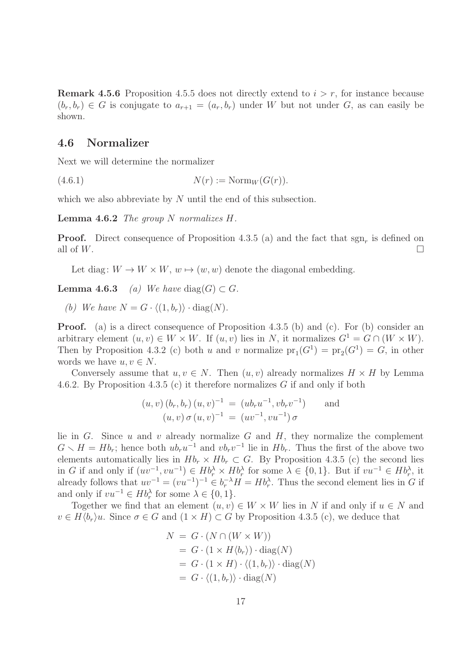**Remark 4.5.6** Proposition 4.5.5 does not directly extend to  $i > r$ , for instance because  $(b_r, b_r) \in G$  is conjugate to  $a_{r+1} = (a_r, b_r)$  under W but not under G, as can easily be shown.

#### 4.6 Normalizer

Next we will determine the normalizer

(4.6.1)  $N(r) := \text{Norm}_W(G(r)).$ 

which we also abbreviate by N until the end of this subsection.

**Lemma 4.6.2** The group N normalizes  $H$ .

**Proof.** Direct consequence of Proposition 4.3.5 (a) and the fact that  $sgn_r$  is defined on all of  $W$ .

Let diag:  $W \to W \times W$ ,  $w \mapsto (w, w)$  denote the diagonal embedding.

**Lemma 4.6.3** (a) We have diag(G)  $\subset$  G.

(b) We have  $N = G \cdot \langle (1, b_r) \rangle \cdot \text{diag}(N)$ .

Proof. (a) is a direct consequence of Proposition 4.3.5 (b) and (c). For (b) consider an arbitrary element  $(u, v) \in W \times W$ . If  $(u, v)$  lies in N, it normalizes  $G^1 = G \cap (W \times W)$ . Then by Proposition 4.3.2 (c) both u and v normalize  $pr_1(G^1) = pr_2(G^1) = G$ , in other words we have  $u, v \in N$ .

Conversely assume that  $u, v \in N$ . Then  $(u, v)$  already normalizes  $H \times H$  by Lemma 4.6.2. By Proposition 4.3.5 (c) it therefore normalizes G if and only if both

$$
(u, v) (b_r, b_r) (u, v)^{-1} = (ub_r u^{-1}, vb_r v^{-1})
$$
 and  
\n $(u, v) \sigma (u, v)^{-1} = (uv^{-1}, vu^{-1}) \sigma$ 

lie in  $G$ . Since  $u$  and  $v$  already normalize  $G$  and  $H$ , they normalize the complement  $G \setminus H = Hb_r$ ; hence both  $ub_ru^{-1}$  and  $vb_rv^{-1}$  lie in  $Hb_r$ . Thus the first of the above two elements automatically lies in  $Hb_r \times Hb_r \subset G$ . By Proposition 4.3.5 (c) the second lies in G if and only if  $(uv^{-1}, vu^{-1}) \in Hb_r^{\lambda} \times Hb_r^{\lambda}$  for some  $\lambda \in \{0,1\}$ . But if  $vu^{-1} \in Hb_r^{\lambda}$ , it already follows that  $uv^{-1} = (vu^{-1})^{-1} \in b_r^{-\lambda}H = Hb_r^{\lambda}$ . Thus the second element lies in G if and only if  $vu^{-1} \in Hb_r^{\lambda}$  for some  $\lambda \in \{0, 1\}.$ 

Together we find that an element  $(u, v) \in W \times W$  lies in N if and only if  $u \in N$  and  $v \in H\langle b_r\rangle u$ . Since  $\sigma \in G$  and  $(1 \times H) \subset G$  by Proposition 4.3.5 (c), we deduce that

$$
N = G \cdot (N \cap (W \times W))
$$
  
=  $G \cdot (1 \times H \langle b_r \rangle) \cdot \text{diag}(N)$   
=  $G \cdot (1 \times H) \cdot \langle (1, b_r) \rangle \cdot \text{diag}(N)$   
=  $G \cdot \langle (1, b_r) \rangle \cdot \text{diag}(N)$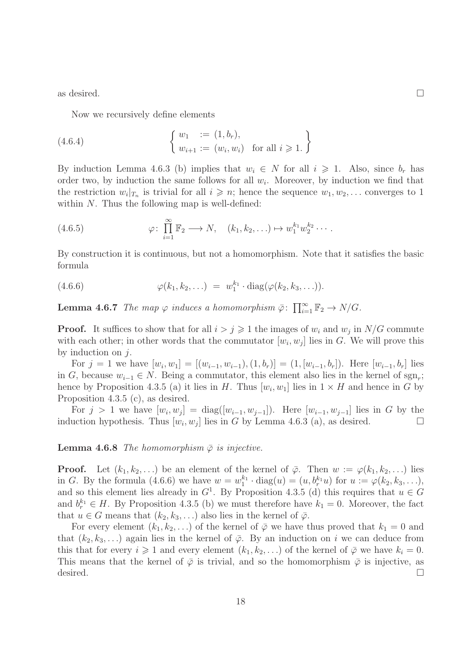as desired.  $\Box$ 

Now we recursively define elements

(4.6.4) 
$$
\begin{cases} w_1 := (1, b_r), \\ w_{i+1} := (w_i, w_i) \text{ for all } i \geq 1. \end{cases}
$$

By induction Lemma 4.6.3 (b) implies that  $w_i \in N$  for all  $i \geq 1$ . Also, since  $b_r$  has order two, by induction the same follows for all  $w_i$ . Moreover, by induction we find that the restriction  $w_i|_{T_n}$  is trivial for all  $i \geq n$ ; hence the sequence  $w_1, w_2, \ldots$  converges to 1 within  $N$ . Thus the following map is well-defined:

(4.6.5) 
$$
\varphi \colon \prod_{i=1}^{\infty} \mathbb{F}_2 \longrightarrow N, \quad (k_1, k_2, \ldots) \mapsto w_1^{k_1} w_2^{k_2} \cdots
$$

By construction it is continuous, but not a homomorphism. Note that it satisfies the basic formula

(4.6.6) 
$$
\varphi(k_1, k_2, \ldots) = w_1^{k_1} \cdot \text{diag}(\varphi(k_2, k_3, \ldots)).
$$

**Lemma 4.6.7** The map  $\varphi$  induces a homomorphism  $\bar{\varphi}$ :  $\prod_{i=1}^{\infty} \mathbb{F}_2 \to N/G$ .

**Proof.** It suffices to show that for all  $i > j \geq 1$  the images of  $w_i$  and  $w_j$  in  $N/G$  commute with each other; in other words that the commutator  $[w_i, w_j]$  lies in G. We will prove this by induction on  $i$ .

For  $j = 1$  we have  $[w_i, w_1] = [(w_{i-1}, w_{i-1}), (1, b_r)] = (1, [w_{i-1}, b_r])$ . Here  $[w_{i-1}, b_r]$  lies in G, because  $w_{i-1} \in N$ . Being a commutator, this element also lies in the kernel of sgn<sub>r</sub>; hence by Proposition 4.3.5 (a) it lies in H. Thus  $[w_i, w_1]$  lies in  $1 \times H$  and hence in G by Proposition 4.3.5 (c), as desired.

For  $j > 1$  we have  $[w_i, w_j] = \text{diag}([w_{i-1}, w_{j-1}])$ . Here  $[w_{i-1}, w_{j-1}]$  lies in G by the induction hypothesis. Thus  $[w_i, w_j]$  lies in G by Lemma 4.6.3 (a), as desired.  $\square$ 

**Lemma 4.6.8** The homomorphism  $\bar{\varphi}$  is injective.

**Proof.** Let  $(k_1, k_2, \ldots)$  be an element of the kernel of  $\bar{\varphi}$ . Then  $w := \varphi(k_1, k_2, \ldots)$  lies in G. By the formula (4.6.6) we have  $w = w_1^{k_1}$  $a_1^{k_1} \cdot \text{diag}(u) = (u, b_r^{k_1} u) \text{ for } u := \varphi(k_2, k_3, \ldots),$ and so this element lies already in  $G<sup>1</sup>$ . By Proposition 4.3.5 (d) this requires that  $u \in G$ and  $b_r^{k_1} \in H$ . By Proposition 4.3.5 (b) we must therefore have  $k_1 = 0$ . Moreover, the fact that  $u \in G$  means that  $(k_2, k_3, \ldots)$  also lies in the kernel of  $\overline{\varphi}$ .

For every element  $(k_1, k_2, \ldots)$  of the kernel of  $\overline{\varphi}$  we have thus proved that  $k_1 = 0$  and that  $(k_2, k_3, \ldots)$  again lies in the kernel of  $\overline{\varphi}$ . By an induction on i we can deduce from this that for every  $i \geq 1$  and every element  $(k_1, k_2, \ldots)$  of the kernel of  $\overline{\varphi}$  we have  $k_i = 0$ . This means that the kernel of  $\bar{\varphi}$  is trivial, and so the homomorphism  $\bar{\varphi}$  is injective, as desired.  $\Box$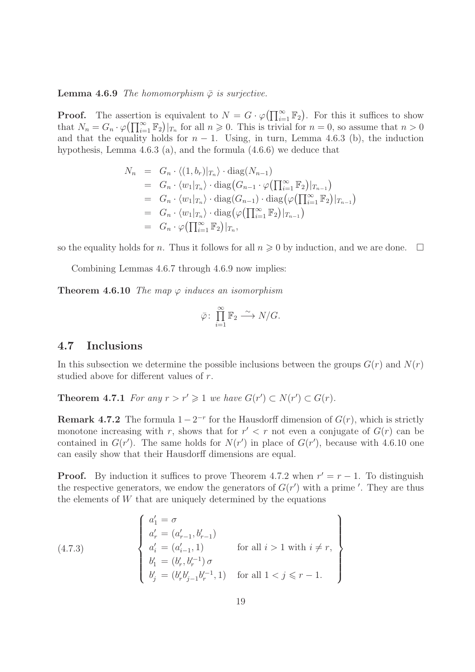#### **Lemma 4.6.9** The homomorphism  $\bar{\varphi}$  is surjective.

**Proof.** The assertion is equivalent to  $N = G \cdot \varphi(\prod_{i=1}^{\infty} \mathbb{F}_2)$ . For this it suffices to show that  $N_n = G_n \cdot \varphi(\prod_{i=1}^{\infty} \mathbb{F}_2)|_{T_n}$  for all  $n \geq 0$ . This is trivial for  $n = 0$ , so assume that  $n > 0$ and that the equality holds for  $n - 1$ . Using, in turn, Lemma 4.6.3 (b), the induction hypothesis, Lemma 4.6.3 (a), and the formula (4.6.6) we deduce that

$$
N_n = G_n \cdot \langle (1, b_r)|_{T_n} \rangle \cdot \text{diag}(N_{n-1})
$$
  
\n
$$
= G_n \cdot \langle w_1|_{T_n} \rangle \cdot \text{diag}(G_{n-1} \cdot \varphi(\prod_{i=1}^{\infty} \mathbb{F}_2)|_{T_{n-1}})
$$
  
\n
$$
= G_n \cdot \langle w_1|_{T_n} \rangle \cdot \text{diag}(G_{n-1}) \cdot \text{diag}(\varphi(\prod_{i=1}^{\infty} \mathbb{F}_2)|_{T_{n-1}})
$$
  
\n
$$
= G_n \cdot \langle w_1|_{T_n} \rangle \cdot \text{diag}(\varphi(\prod_{i=1}^{\infty} \mathbb{F}_2)|_{T_{n-1}})
$$
  
\n
$$
= G_n \cdot \varphi(\prod_{i=1}^{\infty} \mathbb{F}_2)|_{T_n},
$$

so the equality holds for n. Thus it follows for all  $n \geq 0$  by induction, and we are done.  $\Box$ 

Combining Lemmas 4.6.7 through 4.6.9 now implies:

**Theorem 4.6.10** The map  $\varphi$  induces an isomorphism

$$
\bar{\varphi} \colon \prod_{i=1}^{\infty} \mathbb{F}_2 \xrightarrow{\sim} N/G.
$$

#### 4.7 Inclusions

In this subsection we determine the possible inclusions between the groups  $G(r)$  and  $N(r)$ studied above for different values of r.

**Theorem 4.7.1** For any  $r > r' \geq 1$  we have  $G(r') \subset N(r') \subset G(r)$ .

**Remark 4.7.2** The formula  $1 - 2^{-r}$  for the Hausdorff dimension of  $G(r)$ , which is strictly monotone increasing with r, shows that for  $r' < r$  not even a conjugate of  $G(r)$  can be contained in  $G(r')$ . The same holds for  $N(r')$  in place of  $G(r')$ , because with 4.6.10 one can easily show that their Hausdorff dimensions are equal.

**Proof.** By induction it suffices to prove Theorem 4.7.2 when  $r' = r - 1$ . To distinguish the respective generators, we endow the generators of  $G(r')$  with a prime '. They are thus the elements of  $W$  that are uniquely determined by the equations

(4.7.3)  
\n
$$
\begin{cases}\na'_1 = \sigma \\
a'_r = (a'_{r-1}, b'_{r-1}) \\
a'_i = (a'_{i-1}, 1) \\
b'_1 = (b'_r, b'^{-1}_r) \sigma \\
b'_j = (b'_r b'_{j-1} b'^{-1}_r, 1) \quad \text{for all } 1 < j \leq r - 1.\n\end{cases}
$$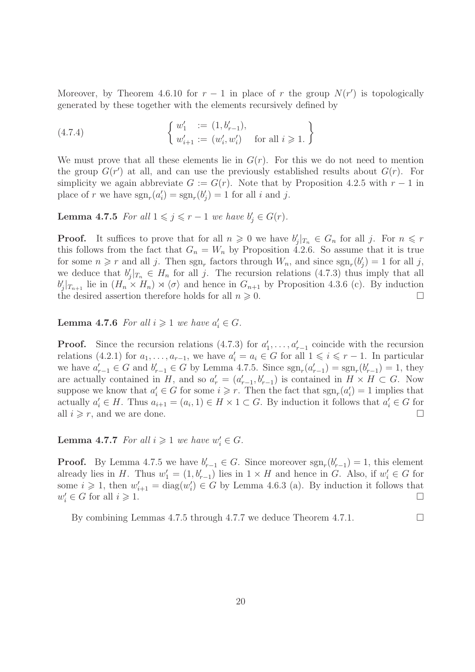Moreover, by Theorem 4.6.10 for  $r-1$  in place of r the group  $N(r')$  is topologically generated by these together with the elements recursively defined by

(4.7.4) 
$$
\begin{cases} w'_1 := (1, b'_{r-1}), \\ w'_{i+1} := (w'_i, w'_i) \text{ for all } i \geq 1. \end{cases}
$$

We must prove that all these elements lie in  $G(r)$ . For this we do not need to mention the group  $G(r')$  at all, and can use the previously established results about  $G(r)$ . For simplicity we again abbreviate  $G := G(r)$ . Note that by Proposition 4.2.5 with  $r - 1$  in place of r we have  $sgn_r(a'_i) = sgn_r(b'_j) = 1$  for all i and j.

**Lemma 4.7.5** For all  $1 \leq j \leq r-1$  we have  $b'_j \in G(r)$ .

**Proof.** It suffices to prove that for all  $n \geq 0$  we have  $b'_j|_{T_n} \in G_n$  for all j. For  $n \leq r$ this follows from the fact that  $G_n = W_n$  by Proposition 4.2.6. So assume that it is true for some  $n \geq r$  and all j. Then  $sgn_r$  factors through  $W_n$ , and since  $sgn_r(b'_j) = 1$  for all j, we deduce that  $b'_j|_{T_n} \in H_n$  for all j. The recursion relations (4.7.3) thus imply that all  $b'_j|_{T_{n+1}}$  lie in  $(H_n \times H_n) \rtimes \langle \sigma \rangle$  and hence in  $G_{n+1}$  by Proposition 4.3.6 (c). By induction the desired assertion therefore holds for all  $n \geqslant 0$ .

**Lemma 4.7.6** For all  $i \geqslant 1$  we have  $a'_i \in G$ .

**Proof.** Since the recursion relations  $(4.7.3)$  for  $a'_1, \ldots, a'_{r-1}$  coincide with the recursion relations (4.2.1) for  $a_1, \ldots, a_{r-1}$ , we have  $a'_i = a_i \in G$  for all  $1 \leq i \leq r-1$ . In particular we have  $a'_{r-1} \in G$  and  $b'_{r-1} \in G$  by Lemma 4.7.5. Since  $sgn_r(a'_{r-1}) = sgn_r(b'_{r-1}) = 1$ , they are actually contained in H, and so  $a'_{r} = (a'_{r-1}, b'_{r-1})$  is contained in  $H \times H \subset G$ . Now suppose we know that  $a'_i \in G$  for some  $i \geq r$ . Then the fact that  $sgn_r(a'_i) = 1$  implies that actually  $a'_i \in H$ . Thus  $a_{i+1} = (a_i, 1) \in H \times 1 \subset G$ . By induction it follows that  $a'_i \in G$  for all  $i \geq r$ , and we are done.

**Lemma 4.7.7** For all  $i \geq 1$  we have  $w'_i \in G$ .

**Proof.** By Lemma 4.7.5 we have  $b'_{r-1} \in G$ . Since moreover  $sgn_r(b'_{r-1}) = 1$ , this element already lies in H. Thus  $w'_1 = (1, b'_{r-1})$  lies in  $1 \times H$  and hence in G. Also, if  $w'_i \in G$  for some  $i \geq 1$ , then  $w'_{i+1} = \text{diag}(w'_i) \in G$  by Lemma 4.6.3 (a). By induction it follows that  $w'_i \in G$  for all  $i \geqslant 1$ .

By combining Lemmas 4.7.5 through 4.7.7 we deduce Theorem 4.7.1.  $\Box$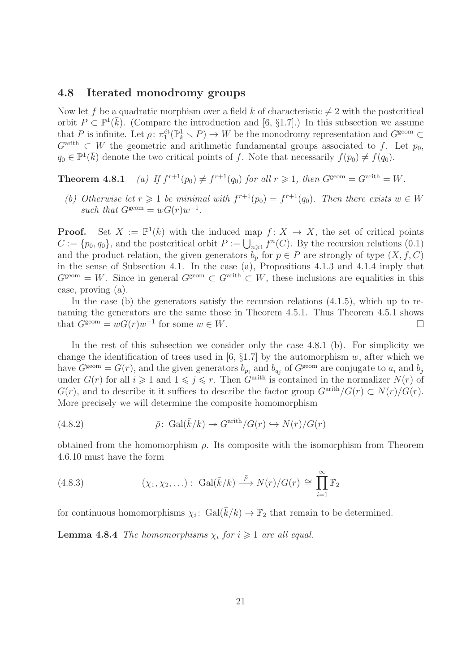#### 4.8 Iterated monodromy groups

Now let f be a quadratic morphism over a field k of characteristic  $\neq 2$  with the postcritical orbit  $P \subset \mathbb{P}^1(\bar{k})$ . (Compare the introduction and [6, §1.7].) In this subsection we assume that P is infinite. Let  $\rho: \pi_1^{\text{\'et}}(\mathbb{P}_k^1 \setminus P) \to W$  be the monodromy representation and  $G^{\text{geom}} \subset$  $G^{\text{arith}} \subset W$  the geometric and arithmetic fundamental groups associated to f. Let  $p_0$ ,  $q_0 \in \mathbb{P}^1(\bar{k})$  denote the two critical points of f. Note that necessarily  $f(p_0) \neq f(q_0)$ .

Theorem  $4.8.1$  $r^{r+1}(p_0) \neq f^{r+1}(q_0)$  for all  $r \geq 1$ , then  $G^{\text{geom}} = G^{\text{arith}} = W$ .

(b) Otherwise let  $r \geq 1$  be minimal with  $f^{r+1}(p_0) = f^{r+1}(q_0)$ . Then there exists  $w \in W$ such that  $G^{\text{geom}} = wG(r)w^{-1}$ .

**Proof.** Set  $X := \mathbb{P}^1(\overline{k})$  with the induced map  $f: X \to X$ , the set of critical points  $C := \{p_0, q_0\}$ , and the postcritical orbit  $P := \bigcup_{n \geq 1} f^n(C)$ . By the recursion relations (0.1) and the product relation, the given generators  $b_p$  for  $p \in P$  are strongly of type  $(X, f, C)$ in the sense of Subsection 4.1. In the case (a), Propositions 4.1.3 and 4.1.4 imply that  $G^{\text{geom}} = W$ . Since in general  $G^{\text{geom}} \subset G^{\text{arith}} \subset W$ , these inclusions are equalities in this case, proving (a).

In the case (b) the generators satisfy the recursion relations  $(4.1.5)$ , which up to renaming the generators are the same those in Theorem 4.5.1. Thus Theorem 4.5.1 shows that  $G^{\text{geom}} = wG(r)w^{-1}$  for some  $w \in W$ .

In the rest of this subsection we consider only the case 4.8.1 (b). For simplicity we change the identification of trees used in [6,  $\S1.7$ ] by the automorphism w, after which we have  $G^{\text{geom}} = G(r)$ , and the given generators  $b_{p_i}$  and  $b_{q_j}$  of  $G^{\text{geom}}$  are conjugate to  $a_i$  and  $b_j$ under  $G(r)$  for all  $i \geqslant 1$  and  $1 \leqslant j \leqslant r$ . Then  $G^{\text{arith}}$  is contained in the normalizer  $N(r)$  of  $G(r)$ , and to describe it it suffices to describe the factor group  $G^{\text{arith}}/G(r) \subset N(r)/G(r)$ . More precisely we will determine the composite homomorphism

(4.8.2) 
$$
\bar{\rho} \colon \operatorname{Gal}(\bar{k}/k) \twoheadrightarrow G^{\operatorname{arith}}/G(r) \hookrightarrow N(r)/G(r)
$$

obtained from the homomorphism  $\rho$ . Its composite with the isomorphism from Theorem 4.6.10 must have the form

(4.8.3) 
$$
(\chi_1, \chi_2, \ldots) : \text{Gal}(\bar{k}/k) \stackrel{\bar{\rho}}{\longrightarrow} N(r)/G(r) \cong \prod_{i=1}^{\infty} \mathbb{F}_2
$$

for continuous homomorphisms  $\chi_i$ : Gal $(\bar{k}/k) \to \mathbb{F}_2$  that remain to be determined.

**Lemma 4.8.4** The homomorphisms  $\chi_i$  for  $i \geq 1$  are all equal.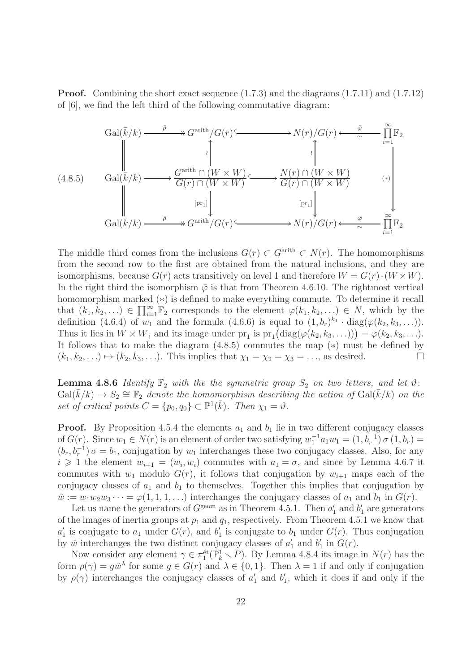Proof. Combining the short exact sequence (1.7.3) and the diagrams (1.7.11) and (1.7.12) of [6], we find the left third of the following commutative diagram:

$$
\begin{array}{ccc}\n\text{Gal}(\bar{k}/k) \xrightarrow{\bar{\rho}} & G^{\text{arith}}/G(r) \xrightarrow{\bar{\rho}} & N(r)/G(r) \xleftarrow{\bar{\varphi}} & \prod_{i=1}^{\infty} \mathbb{F}_2 \\
\downarrow & & \downarrow & \downarrow & \downarrow \\
\text{(4.8.5)} & \text{Gal}(\bar{k}/k) \xrightarrow{\bar{\rho}} & \text{G}^{\text{arith}} \cap (W \times W) \xleftarrow{\bar{\rho}} & N(r) \cap (W \times W) \\
& & \downarrow & \downarrow & \downarrow & \downarrow \\
& & \text{[pr}_1] & & \text{[pr}_1] & \downarrow \\
\text{Gal}(\bar{k}/k) \xrightarrow{\bar{\rho}} & \text{G}^{\text{arith}}/G(r) \xleftarrow{\bar{\rho}} & N(r)/G(r) \xleftarrow{\bar{\varphi}} & \prod_{i=1}^{\infty} \mathbb{F}_2\n\end{array}
$$

The middle third comes from the inclusions  $G(r) \subset G^{\text{arith}} \subset N(r)$ . The homomorphisms from the second row to the first are obtained from the natural inclusions, and they are isomorphisms, because  $G(r)$  acts transitively on level 1 and therefore  $W = G(r) \cdot (W \times W)$ . In the right third the isomorphism  $\overline{\varphi}$  is that from Theorem 4.6.10. The rightmost vertical homomorphism marked (∗) is defined to make everything commute. To determine it recall that  $(k_1, k_2, \ldots) \in \prod_{i=1}^{\infty} \mathbb{F}_2$  corresponds to the element  $\varphi(k_1, k_2, \ldots) \in N$ , which by the definition (4.6.4) of  $w_1$  and the formula (4.6.6) is equal to  $(1, b_r)^{k_1} \cdot diag(\varphi(k_2, k_3, \ldots)).$ Thus it lies in  $W \times W$ , and its image under  $pr_1$  is  $pr_1(\text{diag}(\varphi(k_2, k_3, \ldots))) = \varphi(k_2, k_3, \ldots)$ . It follows that to make the diagram (4.8.5) commutes the map (∗) must be defined by  $(k_1, k_2, \ldots) \mapsto (k_2, k_3, \ldots)$ . This implies that  $\chi_1 = \chi_2 = \chi_3 = \ldots$ , as desired.

**Lemma 4.8.6** Identify  $\mathbb{F}_2$  with the the symmetric group  $S_2$  on two letters, and let  $\vartheta$ :  $Gal(\bar{k}/k) \rightarrow S_2 \cong \mathbb{F}_2$  denote the homomorphism describing the action of  $Gal(\bar{k}/k)$  on the set of critical points  $C = \{p_0, q_0\} \subset \mathbb{P}^1(\bar{k})$ . Then  $\chi_1 = \vartheta$ .

**Proof.** By Proposition 4.5.4 the elements  $a_1$  and  $b_1$  lie in two different conjugacy classes of  $G(r)$ . Since  $w_1 \in N(r)$  is an element of order two satisfying  $w_1^{-1}a_1w_1 = (1, b_r^{-1}) \sigma(1, b_r) =$  $(b_r, b_r^{-1}) \sigma = b_1$ , conjugation by  $w_1$  interchanges these two conjugacy classes. Also, for any  $i \geq 1$  the element  $w_{i+1} = (w_i, w_i)$  commutes with  $a_1 = \sigma$ , and since by Lemma 4.6.7 it commutes with  $w_1$  modulo  $G(r)$ , it follows that conjugation by  $w_{i+1}$  maps each of the conjugacy classes of  $a_1$  and  $b_1$  to themselves. Together this implies that conjugation by  $\tilde{w} := w_1 w_2 w_3 \cdots = \varphi(1, 1, 1, \ldots)$  interchanges the conjugacy classes of  $a_1$  and  $b_1$  in  $G(r)$ .

Let us name the generators of  $G^{\text{geom}}$  as in Theorem 4.5.1. Then  $a'_1$  and  $b'_1$  are generators of the images of inertia groups at  $p_1$  and  $q_1$ , respectively. From Theorem 4.5.1 we know that  $a'_1$  is conjugate to  $a_1$  under  $G(r)$ , and  $b'_1$  is conjugate to  $b_1$  under  $G(r)$ . Thus conjugation by  $\tilde{w}$  interchanges the two distinct conjugacy classes of  $a'_1$  and  $b'_1$  in  $G(r)$ .

Now consider any element  $\gamma \in \pi_1^{\text{\'et}}(\mathbb{P}_k^1 \setminus P)$ . By Lemma 4.8.4 its image in  $N(r)$  has the form  $\rho(\gamma) = g\tilde{w}^{\lambda}$  for some  $g \in G(r)$  and  $\lambda \in \{0, 1\}$ . Then  $\lambda = 1$  if and only if conjugation by  $\rho(\gamma)$  interchanges the conjugacy classes of  $a'_1$  and  $b'_1$ , which it does if and only if the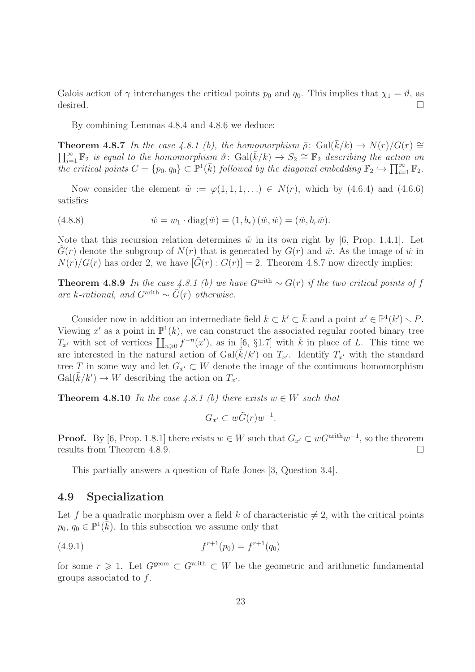Galois action of  $\gamma$  interchanges the critical points  $p_0$  and  $q_0$ . This implies that  $\chi_1 = \vartheta$ , as desired.  $\Box$ 

By combining Lemmas 4.8.4 and 4.8.6 we deduce:

**Theorem 4.8.7** In the case 4.8.1 (b), the homomorphism  $\bar{\rho}$ : Gal( $\bar{k}/k$ )  $\rightarrow N(r)/G(r) \approx$  $\prod_{i=1}^{\infty} \mathbb{F}_2$  is equal to the homomorphism  $\vartheta$ :  $Gal(\bar{k}/k) \rightarrow S_2 \cong \mathbb{F}_2$  describing the action on the critical points  $C = \{p_0, q_0\} \subset \mathbb{P}^1(\bar{k})$  followed by the diagonal embedding  $\mathbb{F}_2 \hookrightarrow \prod_{i=1}^{\infty} \mathbb{F}_2$ .

Now consider the element  $\tilde{w} := \varphi(1, 1, 1, \ldots) \in N(r)$ , which by (4.6.4) and (4.6.6) satisfies

(4.8.8)  $\tilde{w} = w_1 \cdot \text{diag}(\tilde{w}) = (1, b_r) (\tilde{w}, \tilde{w}) = (\tilde{w}, b_r \tilde{w}).$ 

Note that this recursion relation determines  $\tilde{w}$  in its own right by [6, Prop. 1.4.1]. Let  $G(r)$  denote the subgroup of  $N(r)$  that is generated by  $G(r)$  and  $\tilde{w}$ . As the image of  $\tilde{w}$  in  $N(r)/G(r)$  has order 2, we have  $[G(r):G(r)]=2$ . Theorem 4.8.7 now directly implies:

**Theorem 4.8.9** In the case 4.8.1 (b) we have  $G^{\text{arith}} \sim G(r)$  if the two critical points of f are k-rational, and  $G^{\text{arith}} \sim \tilde{G}(r)$  otherwise.

Consider now in addition an intermediate field  $k \subset k' \subset \overline{k}$  and a point  $x' \in \mathbb{P}^1(k') \setminus P$ . Viewing x' as a point in  $\mathbb{P}^1(\bar{k})$ , we can construct the associated regular rooted binary tree  $T_{x'}$  with set of vertices  $\prod_{n\geqslant 0} f^{-n}(x')$ , as in [6, §1.7] with  $\bar{k}$  in place of L. This time we are interested in the natural action of  $Gal(\bar{k}/k')$  on  $T_{x'}$ . Identify  $T_{x'}$  with the standard tree T in some way and let  $G_{x'} \subset W$  denote the image of the continuous homomorphism  $Gal(\bar{k}/k') \rightarrow W$  describing the action on  $T_{x'}$ .

**Theorem 4.8.10** In the case 4.8.1 (b) there exists  $w \in W$  such that

 $G_{x'} \subset w\tilde{G}(r)w^{-1}.$ 

**Proof.** By [6, Prop. 1.8.1] there exists  $w \in W$  such that  $G_{x'} \subset wG^{arith}w^{-1}$ , so the theorem results from Theorem 4.8.9.

This partially answers a question of Rafe Jones [3, Question 3.4].

#### 4.9 Specialization

Let f be a quadratic morphism over a field k of characteristic  $\neq 2$ , with the critical points  $p_0, q_0 \in \mathbb{P}^1(\overline{k})$ . In this subsection we assume only that

$$
(4.9.1) \t fr+1(p0) = fr+1(q0)
$$

for some  $r \geq 1$ . Let  $G^{\text{geom}} \subset G^{\text{arith}} \subset W$  be the geometric and arithmetic fundamental groups associated to  $f$ .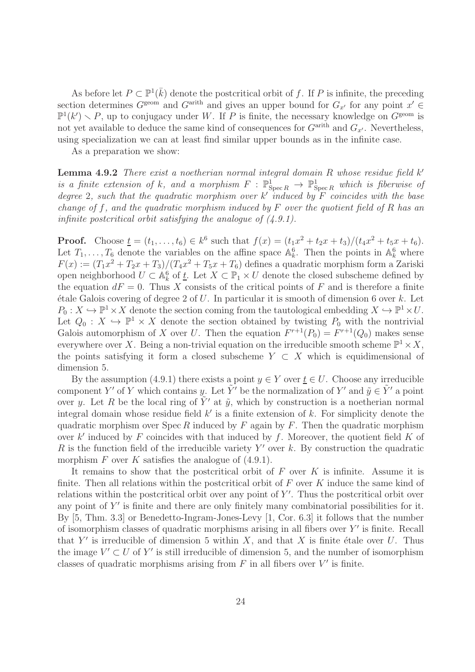As before let  $P \subset \mathbb{P}^1(\bar{k})$  denote the postcritical orbit of f. If P is infinite, the preceding section determines  $G^{\text{geom}}$  and  $G^{\text{arith}}$  and gives an upper bound for  $G_{x'}$  for any point  $x' \in$  $\mathbb{P}^1(k') \setminus P$ , up to conjugacy under W. If P is finite, the necessary knowledge on  $G^{\text{geom}}$  is not yet available to deduce the same kind of consequences for  $G^{\text{arith}}$  and  $G_{x'}$ . Nevertheless, using specialization we can at least find similar upper bounds as in the infinite case.

As a preparation we show:

**Lemma 4.9.2** There exist a noetherian normal integral domain  $R$  whose residue field  $k'$ is a finite extension of k, and a morphism  $F : \mathbb{P}^1_{\mathrm{Spec} R} \to \mathbb{P}^1_{\mathrm{Spec} R}$  which is fiberwise of degree 2, such that the quadratic morphism over  $k'$  induced by F coincides with the base change of f, and the quadratic morphism induced by  $F$  over the quotient field of  $R$  has an infinite postcritical orbit satisfying the analogue of  $(4.9.1)$ .

**Proof.** Choose  $\underline{t} = (t_1, \ldots, t_6) \in k^6$  such that  $f(x) = (t_1x^2 + t_2x + t_3)/(t_4x^2 + t_5x + t_6)$ . Let  $T_1, \ldots, T_6$  denote the variables on the affine space  $\mathbb{A}_k^6$ . Then the points in  $\mathbb{A}_k^6$  where  $F(x) := (T_1x^2 + T_2x + T_3)/(T_4x^2 + T_5x + T_6)$  defines a quadratic morphism form a Zariski open neighborhood  $U \subset \mathbb{A}^6_k$  of  $\underline{t}$ . Let  $X \subset \mathbb{P}_1 \times U$  denote the closed subscheme defined by the equation  $dF = 0$ . Thus X consists of the critical points of F and is therefore a finite  $\acute{e}$ tale Galois covering of degree 2 of U. In particular it is smooth of dimension 6 over k. Let  $P_0: X \hookrightarrow \mathbb{P}^1 \times X$  denote the section coming from the tautological embedding  $X \hookrightarrow \mathbb{P}^1 \times U$ . Let  $Q_0: X \hookrightarrow \mathbb{P}^1 \times X$  denote the section obtained by twisting  $P_0$  with the nontrivial Galois automorphism of X over U. Then the equation  $F^{r+1}(P_0) = F^{r+1}(Q_0)$  makes sense everywhere over X. Being a non-trivial equation on the irreducible smooth scheme  $\mathbb{P}^1 \times X$ , the points satisfying it form a closed subscheme  $Y \subset X$  which is equidimensional of dimension 5.

By the assumption (4.9.1) there exists a point  $y \in Y$  over  $t \in U$ . Choose any irreducible component Y' of Y which contains y. Let  $\tilde{Y}'$  be the normalization of Y' and  $\tilde{y} \in \tilde{Y}'$  a point over y. Let R be the local ring of  $\tilde{Y}'$  at  $\tilde{y}$ , which by construction is a noetherian normal integral domain whose residue field  $k'$  is a finite extension of  $k$ . For simplicity denote the quadratic morphism over  $\text{Spec } R$  induced by  $F$  again by  $F$ . Then the quadratic morphism over  $k'$  induced by  $F$  coincides with that induced by  $f$ . Moreover, the quotient field  $K$  of R is the function field of the irreducible variety  $Y'$  over k. By construction the quadratic morphism  $F$  over  $K$  satisfies the analogue of  $(4.9.1)$ .

It remains to show that the postcritical orbit of  $F$  over  $K$  is infinite. Assume it is finite. Then all relations within the postcritical orbit of  $F$  over  $K$  induce the same kind of relations within the postcritical orbit over any point of  $Y'$ . Thus the postcritical orbit over any point of  $Y'$  is finite and there are only finitely many combinatorial possibilities for it. By [5, Thm. 3.3] or Benedetto-Ingram-Jones-Levy [1, Cor. 6.3] it follows that the number of isomorphism classes of quadratic morphisms arising in all fibers over Y ′ is finite. Recall that Y' is irreducible of dimension 5 within X, and that X is finite étale over U. Thus the image  $V' \subset U$  of Y' is still irreducible of dimension 5, and the number of isomorphism classes of quadratic morphisms arising from  $F$  in all fibers over  $V'$  is finite.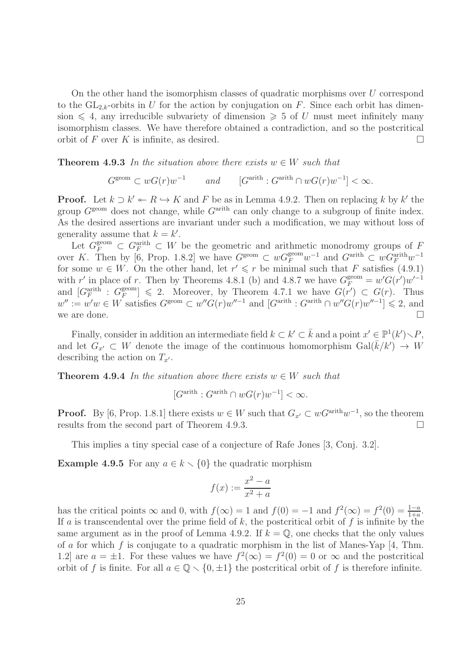On the other hand the isomorphism classes of quadratic morphisms over U correspond to the  $GL_{2,k}$ -orbits in U for the action by conjugation on F. Since each orbit has dimension  $\leq 4$ , any irreducible subvariety of dimension  $\geq 5$  of U must meet infinitely many isomorphism classes. We have therefore obtained a contradiction, and so the postcritical orbit of F over K is infinite, as desired.

**Theorem 4.9.3** In the situation above there exists  $w \in W$  such that

 $G^{\text{geom}} \subset wG(r)w^{-1} \quad \text{and} \quad [G^{\text{arith}} : G^{\text{arith}} \cap wG(r)w^{-1}] < \infty.$ 

**Proof.** Let  $k \supset k' \leftarrow R \hookrightarrow K$  and F be as in Lemma 4.9.2. Then on replacing k by k' the group  $G^{\text{geom}}$  does not change, while  $G^{\text{arith}}$  can only change to a subgroup of finite index. As the desired assertions are invariant under such a modification, we may without loss of generality assume that  $k = k'$ .

Let  $G_F^{\text{geom}} \subset G_F^{\text{arith}} \subset W$  be the geometric and arithmetic monodromy groups of F over K. Then by [6, Prop. 1.8.2] we have  $G^{\text{geom}} \subset wG_F^{\text{geom}}w^{-1}$  and  $G^{\text{arith}} \subset wG_F^{\text{arith}}w^{-1}$ for some  $w \in W$ . On the other hand, let  $r' \leq r$  be minimal such that F satisfies (4.9.1) with r' in place of r. Then by Theorems 4.8.1 (b) and 4.8.7 we have  $G_F^{\text{geom}} = w'G(r')w'^{-1}$ and  $[G_F^{\text{arith}}\, : \, G_F^{\text{geom}}\, ]$  $_{F}^{\text{geom}}$ ]  $\leqslant$  2. Moreover, by Theorem 4.7.1 we have  $G(r') \subset G(r)$ . Thus  $w'':=w'w\in W$  satisfies  $G^{\text{geom}}\subset w''G(r)w''^{-1}$  and  $[G^{\text{arith}}:G^{\text{arith}}\cap w''G(r)w''^{-1}]\leq 2$ , and we are done.

Finally, consider in addition an intermediate field  $k \subset k' \subset \overline{k}$  and a point  $x' \in \mathbb{P}^1(k') \setminus P$ , and let  $G_{x'} \subset W$  denote the image of the continuous homomorphism  $Gal(\bar{k}/k') \to W$ describing the action on  $T_{x'}$ .

**Theorem 4.9.4** In the situation above there exists  $w \in W$  such that

$$
[G^{\text{arith}} : G^{\text{arith}} \cap wG(r)w^{-1}] < \infty.
$$

**Proof.** By [6, Prop. 1.8.1] there exists  $w \in W$  such that  $G_{x'} \subset wG^{arith}w^{-1}$ , so the theorem results from the second part of Theorem 4.9.3.

This implies a tiny special case of a conjecture of Rafe Jones [3, Conj. 3.2].

**Example 4.9.5** For any  $a \in k \setminus \{0\}$  the quadratic morphism

$$
f(x) := \frac{x^2 - a}{x^2 + a}
$$

has the critical points  $\infty$  and 0, with  $f(\infty) = 1$  and  $f(0) = -1$  and  $f^2(\infty) = f^2(0) = \frac{1-a}{1+a}$ . If a is transcendental over the prime field of  $k$ , the postcritical orbit of  $f$  is infinite by the same argument as in the proof of Lemma 4.9.2. If  $k = \mathbb{Q}$ , one checks that the only values of a for which f is conjugate to a quadratic morphism in the list of Manes-Yap  $[4, Thm]$ . 1.2 are  $a = \pm 1$ . For these values we have  $f^2(\infty) = f^2(0) = 0$  or  $\infty$  and the postcritical orbit of f is finite. For all  $a \in \mathbb{Q} \setminus \{0, \pm 1\}$  the postcritical orbit of f is therefore infinite.